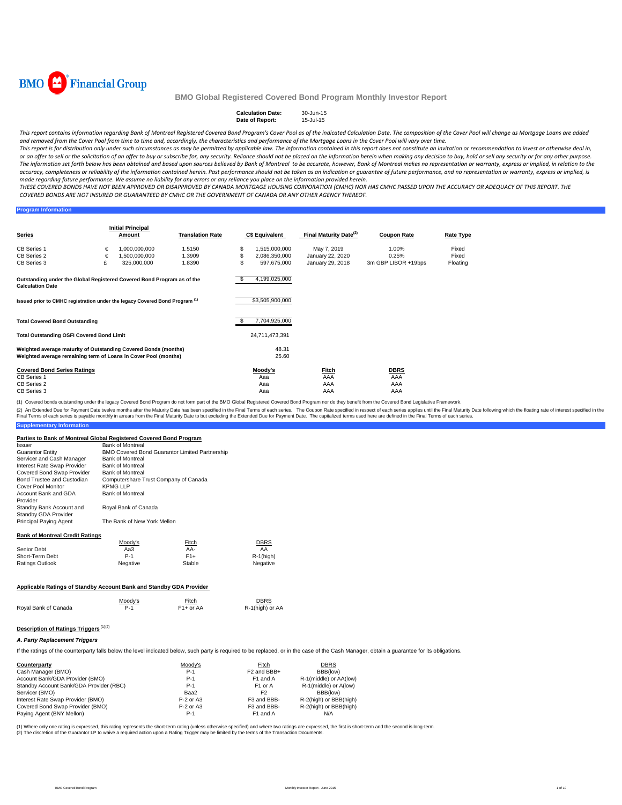

### **Calculation Date:** 30-Jun-15<br> **Date of Report:** 15-Jul-15 **Date of Report:**

This report contains information regarding Bank of Montreal Registered Covered Bond Program's Cover Pool as of the indicated Calculation Date. The composition of the Cover Pool will change as Mortgage Loans are added and removed from the Cover Pool from time to time and, accordingly, the characteristics and performance of the Mortgage Loans in the Cover Pool will vary over time.

This report is for distribution only under such circumstances as may be permitted by applicable law. The information contained in this report does not constitute an invitation or recommendation to invest or otherwise deal or an offer to sell or the solicitation of an offer to buy or subscribe for, any security. Reliance should not be placed on the information herein when making any decision to buy, hold or sell any security or for any other The information set forth below has been obtained and based upon sources believed by Bank of Montreal to be accurate, however, Bank of Montreal makes no representation or warranty, express or implied, in relation to the accuracy, completeness or reliability of the information contained herein. Past performance should not be taken as an indication or guarantee of future performance, and no representation or warranty, express or implied, is made regarding future performance. We assume no liability for any errors or any reliance you place on the information provided herein.

THESE COVERED BONDS HAVE NOT BEEN APPROVED OR DISAPPROVED BY CANADA MORTGAGE HOUSING CORPORATION (CMHC) NOR HAS CMHC PASSED UPON THE ACCURACY OR ADEQUACY OF THIS REPORT. THE COVERED BONDS ARE NOT INSURED OR GUARANTEED BY CMHC OR THE GOVERNMENT OF CANADA OR ANY OTHER AGENCY THEREOF.

## **Program Information**

| Series                                                                                                                             |        | <b>Initial Principal</b><br>Amount | <b>Translation Rate</b> |        | <b>C\$ Equivalent</b>        | Final Maturity Date <sup>(2)</sup>   | <b>Coupon Rate</b>           | Rate Type         |
|------------------------------------------------------------------------------------------------------------------------------------|--------|------------------------------------|-------------------------|--------|------------------------------|--------------------------------------|------------------------------|-------------------|
| <b>CB</b> Series 1                                                                                                                 | €      | 1,000,000,000                      | 1.5150                  |        | 1,515,000,000                | May 7, 2019                          | 1.00%                        | Fixed             |
| CB Series 2<br>CB Series 3                                                                                                         | €<br>£ | 1,500,000,000<br>325,000,000       | 1.3909<br>1.8390        | S<br>S | 2,086,350,000<br>597,675,000 | January 22, 2020<br>January 29, 2018 | 0.25%<br>3m GBP LIBOR +19bps | Fixed<br>Floating |
| Outstanding under the Global Registered Covered Bond Program as of the<br><b>Calculation Date</b>                                  |        |                                    |                         |        | 4,199,025,000                |                                      |                              |                   |
| Issued prior to CMHC registration under the legacy Covered Bond Program <sup>(1)</sup>                                             |        |                                    |                         |        | \$3,505,900,000              |                                      |                              |                   |
| <b>Total Covered Bond Outstanding</b>                                                                                              |        |                                    |                         |        | 7,704,925,000                |                                      |                              |                   |
| <b>Total Outstanding OSFI Covered Bond Limit</b>                                                                                   |        |                                    |                         |        | 24,711,473,391               |                                      |                              |                   |
| Weighted average maturity of Outstanding Covered Bonds (months)<br>Weighted average remaining term of Loans in Cover Pool (months) |        |                                    |                         |        | 48.31<br>25.60               |                                      |                              |                   |
| <b>Covered Bond Series Ratings</b>                                                                                                 |        |                                    |                         |        | Moody's                      | Fitch                                | <b>DBRS</b>                  |                   |
| CB Series 1                                                                                                                        |        |                                    |                         |        | Aaa                          | AAA                                  | AAA                          |                   |
| CB Series 2<br>CB Series 3                                                                                                         |        |                                    |                         |        | Aaa<br>Aaa                   | AAA<br>AAA                           | AAA<br>AAA                   |                   |

(1) Covered bonds outstanding under the legacy Covered Bond Program do not form part of the BMO Global Registered Covered Bond Program nor do they benefit from the Covered Bond Legislative Framework.

(2) An Extended Due for Payment Date welve months after the Maturity Date has been specified in the Final Terms of each series. The Coupon Rate specified in the enduction the shate holders are adding to each series. The ca

#### **Supplementary Information**

### **Parties to Bank of Montreal Global Registered Covered Bond Program**

| Issuer                                           | <b>Bank of Montreal</b>               |                                                       |              |
|--------------------------------------------------|---------------------------------------|-------------------------------------------------------|--------------|
| <b>Guarantor Entity</b>                          |                                       | <b>BMO Covered Bond Guarantor Limited Partnership</b> |              |
| Servicer and Cash Manager                        | <b>Bank of Montreal</b>               |                                                       |              |
| Interest Rate Swap Provider                      | <b>Bank of Montreal</b>               |                                                       |              |
| Covered Bond Swap Provider                       | <b>Bank of Montreal</b>               |                                                       |              |
| Bond Trustee and Custodian                       | Computershare Trust Company of Canada |                                                       |              |
| <b>Cover Pool Monitor</b>                        | <b>KPMG LLP</b>                       |                                                       |              |
| Account Bank and GDA                             | <b>Bank of Montreal</b>               |                                                       |              |
| Provider                                         |                                       |                                                       |              |
| Standby Bank Account and<br>Standby GDA Provider | Royal Bank of Canada                  |                                                       |              |
| Principal Paving Agent                           | The Bank of New York Mellon           |                                                       |              |
| <b>Bank of Montreal Credit Ratings</b>           |                                       |                                                       |              |
|                                                  | Moody's                               | Fitch                                                 | DBRS         |
| Senior Debt                                      | Aa3                                   | AA-                                                   | AA           |
| Short-Term Debt                                  | $P-1$                                 | $F1+$                                                 | $R-1$ (high) |
| Ratings Outlook                                  | Negative                              | Stable                                                | Negative     |
|                                                  |                                       |                                                       |              |

## **Applicable Ratings of Standby Account Bank and Standby GDA Provider**

|                      | Moody's | Fitch                  | <b>DBRS</b>     |
|----------------------|---------|------------------------|-----------------|
| Royal Bank of Canada | P-1     | F <sub>1</sub> + or AA | R-1(high) or AA |

## **Description of Ratings Triggers** (1)(2)

#### *A. Party Replacement Triggers*

If the ratings of the counterparty falls below the level indicated below, such party is required to be replaced, or in the case of the Cash Manager, obtain a guarantee for its obligations.

| Counterparty                            | Moody's     | Fitch                   | <b>DBRS</b>            |
|-----------------------------------------|-------------|-------------------------|------------------------|
| Cash Manager (BMO)                      | $P-1$       | F <sub>2</sub> and BBB+ | BBB(low)               |
| Account Bank/GDA Provider (BMO)         | $P-1$       | F1 and A                | R-1(middle) or AA(low) |
| Standby Account Bank/GDA Provider (RBC) | $P-1$       | F <sub>1</sub> or A     | R-1(middle) or A(low)  |
| Servicer (BMO)                          | Baa2        | F <sub>2</sub>          | BBB(low)               |
| Interest Rate Swap Provider (BMO)       | $P-2$ or A3 | F3 and BBB-             | R-2(high) or BBB(high) |
| Covered Bond Swap Provider (BMO)        | $P-2$ or A3 | F3 and BBB-             | R-2(high) or BBB(high) |
| Paying Agent (BNY Mellon)               | $P-1$       | F1 and A                | N/A                    |

(1) Where only one rating is expressed, this rating represents the short-term rating (unless otherwise specified) and where two ratings are expressed, the first is short-term and the second is long-term.<br>(2) The discretion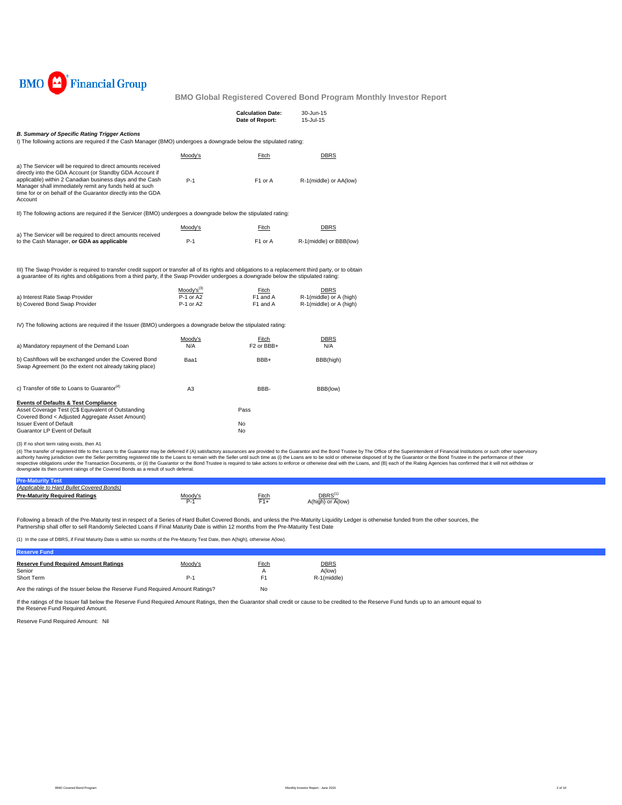

|                                                                                                                                                                                                                                                                                                                                                                                                                                                                                                                                                                                                                                                                                                                                                                                                                                                                                                                                                                                                                                                                                                                                                                                                                                                                                                                                                                                                                                                                                                                                                         |             | <b>Calculation Date:</b><br>Date of Report: | 30-Jun-15<br>15-Jul-15                                            |
|---------------------------------------------------------------------------------------------------------------------------------------------------------------------------------------------------------------------------------------------------------------------------------------------------------------------------------------------------------------------------------------------------------------------------------------------------------------------------------------------------------------------------------------------------------------------------------------------------------------------------------------------------------------------------------------------------------------------------------------------------------------------------------------------------------------------------------------------------------------------------------------------------------------------------------------------------------------------------------------------------------------------------------------------------------------------------------------------------------------------------------------------------------------------------------------------------------------------------------------------------------------------------------------------------------------------------------------------------------------------------------------------------------------------------------------------------------------------------------------------------------------------------------------------------------|-------------|---------------------------------------------|-------------------------------------------------------------------|
| <b>B. Summary of Specific Rating Trigger Actions</b>                                                                                                                                                                                                                                                                                                                                                                                                                                                                                                                                                                                                                                                                                                                                                                                                                                                                                                                                                                                                                                                                                                                                                                                                                                                                                                                                                                                                                                                                                                    |             |                                             |                                                                   |
|                                                                                                                                                                                                                                                                                                                                                                                                                                                                                                                                                                                                                                                                                                                                                                                                                                                                                                                                                                                                                                                                                                                                                                                                                                                                                                                                                                                                                                                                                                                                                         | Moody's     | Fitch                                       | <b>DBRS</b>                                                       |
| a) The Servicer will be required to direct amounts received<br>directly into the GDA Account (or Standby GDA Account if<br>applicable) within 2 Canadian business days and the Cash<br>Manager shall immediately remit any funds held at such<br>time for or on behalf of the Guarantor directly into the GDA<br>Account                                                                                                                                                                                                                                                                                                                                                                                                                                                                                                                                                                                                                                                                                                                                                                                                                                                                                                                                                                                                                                                                                                                                                                                                                                | $P-1$       | F1 or A                                     | R-1(middle) or AA(low)                                            |
|                                                                                                                                                                                                                                                                                                                                                                                                                                                                                                                                                                                                                                                                                                                                                                                                                                                                                                                                                                                                                                                                                                                                                                                                                                                                                                                                                                                                                                                                                                                                                         |             |                                             |                                                                   |
| I) The following actions are required if the Cash Manager (BMO) undergoes a downgrade below the stipulated rating:<br>II) The following actions are required if the Servicer (BMO) undergoes a downgrade below the stipulated rating:<br>Moody's<br>Fitch<br>a) The Servicer will be required to direct amounts received<br>to the Cash Manager, or GDA as applicable<br>$P-1$<br>F1 or A<br>III) The Swap Provider is required to transfer credit support or transfer all of its rights and obligations to a replacement third party, or to obtain<br>a quarantee of its rights and obligations from a third party, if the Swap Provider undergoes a downgrade below the stipulated rating:<br>Moody's <sup>(3)</sup><br>Fitch<br>P-1 or A2<br>F1 and A<br>a) Interest Rate Swap Provider<br>P-1 or A2<br>F1 and A<br>b) Covered Bond Swap Provider<br>IV) The following actions are required if the Issuer (BMO) undergoes a downgrade below the stipulated rating:<br>Fitch<br>Moody's<br>F2 or BBB+<br>a) Mandatory repayment of the Demand Loan<br>N/A<br>b) Cashflows will be exchanged under the Covered Bond<br>Baa1<br>BBB+<br>Swap Agreement (to the extent not already taking place)<br>c) Transfer of title to Loans to Guarantor <sup>(4)</sup><br>A <sub>3</sub><br>BBB-<br><b>Events of Defaults &amp; Test Compliance</b><br>Asset Coverage Test (C\$ Equivalent of Outstanding<br>Pass<br>Covered Bond < Adjusted Aggregate Asset Amount)<br><b>Issuer Event of Default</b><br><b>No</b><br>Guarantor LP Event of Default<br><b>No</b> | <b>DBRS</b> |                                             |                                                                   |
|                                                                                                                                                                                                                                                                                                                                                                                                                                                                                                                                                                                                                                                                                                                                                                                                                                                                                                                                                                                                                                                                                                                                                                                                                                                                                                                                                                                                                                                                                                                                                         |             |                                             | R-1(middle) or BBB(low)                                           |
|                                                                                                                                                                                                                                                                                                                                                                                                                                                                                                                                                                                                                                                                                                                                                                                                                                                                                                                                                                                                                                                                                                                                                                                                                                                                                                                                                                                                                                                                                                                                                         |             |                                             |                                                                   |
|                                                                                                                                                                                                                                                                                                                                                                                                                                                                                                                                                                                                                                                                                                                                                                                                                                                                                                                                                                                                                                                                                                                                                                                                                                                                                                                                                                                                                                                                                                                                                         |             |                                             | <b>DBRS</b><br>R-1(middle) or A (high)<br>R-1(middle) or A (high) |
|                                                                                                                                                                                                                                                                                                                                                                                                                                                                                                                                                                                                                                                                                                                                                                                                                                                                                                                                                                                                                                                                                                                                                                                                                                                                                                                                                                                                                                                                                                                                                         |             |                                             |                                                                   |
|                                                                                                                                                                                                                                                                                                                                                                                                                                                                                                                                                                                                                                                                                                                                                                                                                                                                                                                                                                                                                                                                                                                                                                                                                                                                                                                                                                                                                                                                                                                                                         |             |                                             | <b>DBRS</b><br>N/A                                                |
|                                                                                                                                                                                                                                                                                                                                                                                                                                                                                                                                                                                                                                                                                                                                                                                                                                                                                                                                                                                                                                                                                                                                                                                                                                                                                                                                                                                                                                                                                                                                                         |             |                                             | BBB(high)                                                         |
|                                                                                                                                                                                                                                                                                                                                                                                                                                                                                                                                                                                                                                                                                                                                                                                                                                                                                                                                                                                                                                                                                                                                                                                                                                                                                                                                                                                                                                                                                                                                                         |             |                                             | BBB(low)                                                          |
|                                                                                                                                                                                                                                                                                                                                                                                                                                                                                                                                                                                                                                                                                                                                                                                                                                                                                                                                                                                                                                                                                                                                                                                                                                                                                                                                                                                                                                                                                                                                                         |             |                                             |                                                                   |
|                                                                                                                                                                                                                                                                                                                                                                                                                                                                                                                                                                                                                                                                                                                                                                                                                                                                                                                                                                                                                                                                                                                                                                                                                                                                                                                                                                                                                                                                                                                                                         |             |                                             |                                                                   |
| (3) If no short term rating exists, then A1                                                                                                                                                                                                                                                                                                                                                                                                                                                                                                                                                                                                                                                                                                                                                                                                                                                                                                                                                                                                                                                                                                                                                                                                                                                                                                                                                                                                                                                                                                             |             |                                             |                                                                   |

(3) If no short term rating exists, then A1<br>(4) The transfer of registered title to the Loans to the Guarantor may be deferred if (A) satisfactory assurances are provided to the Guarantor and the Bond Trustee by The Office

| <b>Pre-Maturity Test</b>                  |             |       |                                        |
|-------------------------------------------|-------------|-------|----------------------------------------|
| (Applicable to Hard Bullet Covered Bonds) |             |       |                                        |
| <b>Pre-Maturity Required Ratings</b>      | "nody<br>P- | Fitch | DBRS <sup>1</sup><br>A(high) or A(low) |

Following a breach of the Pre-Maturity test in respect of a Series of Hard Bullet Covered Bonds, and unless the Pre-Maturity Liquidity Ledger is otherwise funded from the other sources, the<br>Partnership shall offer to sell

(1) In the case of DBRS, if Final Maturity Date is within six months of the Pre-Maturity Test Date, then A(high), otherwise A(low).

| <b>Reserve Fund</b>                                                           |         |       |                       |
|-------------------------------------------------------------------------------|---------|-------|-----------------------|
| <b>Reserve Fund Required Amount Ratings</b><br>Senior                         | Moody's | Fitch | <b>DBRS</b><br>A(low) |
| Short Term                                                                    | P-1     |       | R-1(middle)           |
| Are the ratings of the Issuer below the Reserve Fund Required Amount Ratings? |         | No    |                       |

If the ratings of the Issuer fall below the Reserve Fund Required Amount Ratings, then the Guarantor shall credit or cause to be credited to the Reserve Fund funds up to an amount equal to the Reserve Fund Required Amount.

Reserve Fund Required Amount: Nil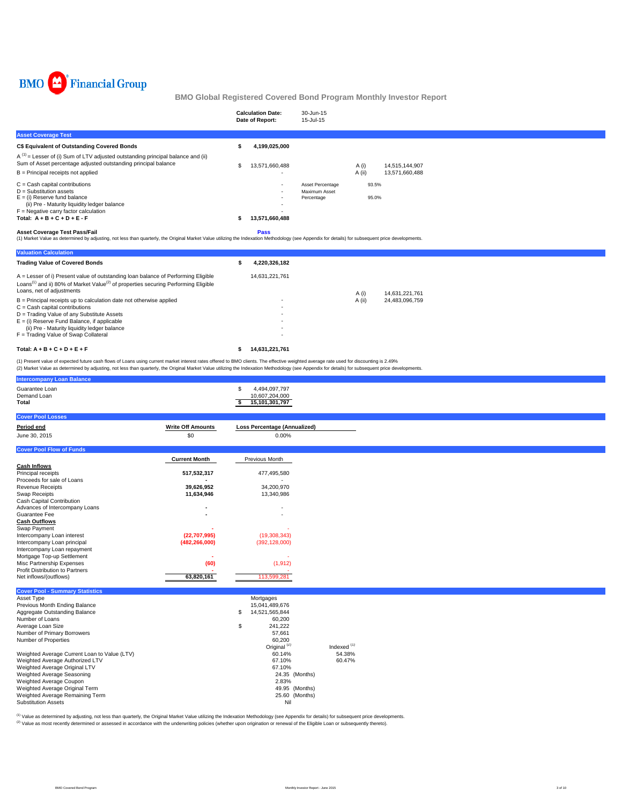

|                                                                                                                                                                                                                                            | <b>Calculation Date:</b><br>Date of Report: | 30-Jun-15<br>15-Jul-15                          |                |                |  |  |
|--------------------------------------------------------------------------------------------------------------------------------------------------------------------------------------------------------------------------------------------|---------------------------------------------|-------------------------------------------------|----------------|----------------|--|--|
| <b>Asset Coverage Test</b>                                                                                                                                                                                                                 |                                             |                                                 |                |                |  |  |
| C\$ Equivalent of Outstanding Covered Bonds                                                                                                                                                                                                | 4,199,025,000                               |                                                 |                |                |  |  |
| $A^{(1)}$ = Lesser of (i) Sum of LTV adjusted outstanding principal balance and (ii)<br>Sum of Asset percentage adjusted outstanding principal balance                                                                                     | 13,571,660,488                              |                                                 | A (i)          | 14,515,144,907 |  |  |
| $B =$ Principal receipts not applied                                                                                                                                                                                                       |                                             |                                                 | $A$ (ii)       | 13,571,660,488 |  |  |
| $C =$ Cash capital contributions<br>$D =$ Substitution assets<br>$E =$ (i) Reserve fund balance<br>(ii) Pre - Maturity liquidity ledger balance<br>$F =$ Negative carry factor calculation<br>Total: $A + B + C + D + E - F$               | 13,571,660,488                              | Asset Percentage<br>Maximum Asset<br>Percentage | 93.5%<br>95.0% |                |  |  |
| <b>Asset Coverage Test Pass/Fail</b><br>(1) Market Value as determined by adjusting, not less than quarterly, the Original Market Value utilizing the Indexation Methodology (see Appendix for details) for subsequent price developments. | <b>Pass</b>                                 |                                                 |                |                |  |  |

| <b>Valuation Calculation</b>                                                                                                                                                                                                 |   |                |        |                |
|------------------------------------------------------------------------------------------------------------------------------------------------------------------------------------------------------------------------------|---|----------------|--------|----------------|
| <b>Trading Value of Covered Bonds</b>                                                                                                                                                                                        | S | 4.220.326.182  |        |                |
| A = Lesser of i) Present value of outstanding loan balance of Performing Eligible<br>Loans <sup>(1)</sup> and ii) 80% of Market Value <sup>(2)</sup> of properties securing Performing Eligible<br>Loans, net of adiustments |   | 14.631.221.761 | A (i)  | 14.631.221.761 |
| $B =$ Principal receipts up to calculation date not otherwise applied                                                                                                                                                        |   |                | A (ii) | 24.483.096.759 |
| $C =$ Cash capital contributions                                                                                                                                                                                             |   |                |        |                |
| D = Trading Value of any Substitute Assets                                                                                                                                                                                   |   | ۰              |        |                |
| $E =$ (i) Reserve Fund Balance, if applicable                                                                                                                                                                                |   |                |        |                |
| (ii) Pre - Maturity liquidity ledger balance                                                                                                                                                                                 |   |                |        |                |
| F = Trading Value of Swap Collateral                                                                                                                                                                                         |   |                |        |                |
| Total: $A + B + C + D + E + F$                                                                                                                                                                                               |   | 14.631.221.761 |        |                |

(1) Present value of expected future cash flows of Loans using current market interest rates offered to BMO clients. The effective weighted average rate used for discounting is 2.49%<br>(2) Market Value as determined by adjus

| <b>Intercompany Loan Balance</b><br>Guarantee Loan<br>Demand Loan |                          | 4,494,097,797<br>\$<br>10,607,204,000 |               |
|-------------------------------------------------------------------|--------------------------|---------------------------------------|---------------|
| Total                                                             |                          | \$<br>15,101,301,797                  |               |
| <b>Cover Pool Losses</b>                                          |                          |                                       |               |
| Period end                                                        | <b>Write Off Amounts</b> | <b>Loss Percentage (Annualized)</b>   |               |
| June 30, 2015                                                     | \$0                      | 0.00%                                 |               |
| <b>Cover Pool Flow of Funds</b>                                   |                          |                                       |               |
|                                                                   | <b>Current Month</b>     | Previous Month                        |               |
| <b>Cash Inflows</b><br>Principal receipts                         | 517,532,317              | 477,495,580                           |               |
| Proceeds for sale of Loans                                        |                          |                                       |               |
| <b>Revenue Receipts</b>                                           | 39,626,952               | 34,200,970                            |               |
| Swap Receipts<br>Cash Capital Contribution                        | 11,634,946               | 13,340,986                            |               |
| Advances of Intercompany Loans                                    | ٠                        |                                       |               |
| Guarantee Fee                                                     |                          |                                       |               |
| <b>Cash Outflows</b><br>Swap Payment                              |                          |                                       |               |
| Intercompany Loan interest                                        | (22,707,995)             | (19, 308, 343)                        |               |
| Intercompany Loan principal<br>Intercompany Loan repayment        | (482, 266, 000)          | (392, 128, 000)                       |               |
| Mortgage Top-up Settlement                                        | ٠                        |                                       |               |
| Misc Partnership Expenses                                         | (60)                     | (1, 912)                              |               |
| Profit Distribution to Partners<br>Net inflows/(outflows)         | 63,820,161               | 113,599,281                           |               |
|                                                                   |                          |                                       |               |
| <b>Cover Pool - Summary Statistics</b><br>Asset Type              |                          | Mortgages                             |               |
| Previous Month Ending Balance                                     |                          | 15,041,489,676                        |               |
| Aggregate Outstanding Balance                                     |                          | \$<br>14,521,565,844                  |               |
| Number of Loans<br>Average Loan Size                              |                          | 60,200<br>\$<br>241,222               |               |
| Number of Primary Borrowers                                       |                          | 57,661                                |               |
| Number of Properties                                              |                          | 60,200                                | Indexed $(1)$ |
| Weighted Average Current Loan to Value (LTV)                      |                          | Original <sup>(2)</sup><br>60.14%     | 54.38%        |
| Weighted Average Authorized LTV                                   |                          | 67.10%                                | 60.47%        |
| Weighted Average Original LTV<br>Weighted Average Seasoning       |                          | 67.10%<br>24.35 (Months)              |               |
| Weighted Average Coupon                                           |                          | 2.83%                                 |               |
| Weighted Average Original Term                                    |                          | 49.95 (Months)                        |               |
| Weighted Average Remaining Term<br><b>Substitution Assets</b>     |                          | 25.60 (Months)<br>Nil                 |               |

<sup>(1)</sup> Value as determined by adjusting, not less than quarterly, the Original Market Value utilizing the Indexation Methodology (see Appendix for details) for subsequent price developments.<br><sup>(2)</sup> Value as most recently det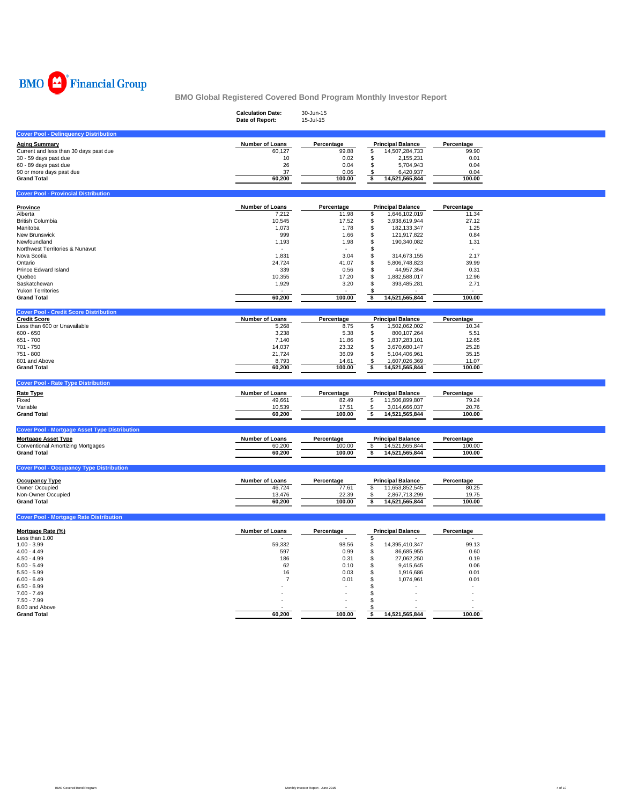

|                                                                                                                                                                                          | <b>Calculation Date:</b><br>Date of Report: | 30-Jun-15<br>15-Jul-15 |                                             |                 |  |
|------------------------------------------------------------------------------------------------------------------------------------------------------------------------------------------|---------------------------------------------|------------------------|---------------------------------------------|-----------------|--|
| <b>Cover Pool - Delinquency Distribution</b>                                                                                                                                             |                                             |                        |                                             |                 |  |
| <b>Aging Summary</b>                                                                                                                                                                     | <b>Number of Loans</b>                      | Percentage             | <b>Principal Balance</b>                    | Percentage      |  |
| Current and less than 30 days past due                                                                                                                                                   | 60,127                                      | 99.88                  | 14,507,284,733<br>\$                        | 99.90           |  |
| 30 - 59 days past due                                                                                                                                                                    | 10                                          | 0.02                   | 2,155,231<br>\$                             | 0.01            |  |
| 60 - 89 days past due                                                                                                                                                                    | 26                                          | 0.04                   | \$<br>5,704,943                             | 0.04            |  |
| 90 or more days past due                                                                                                                                                                 | 37                                          | 0.06                   | 6,420,937<br>\$                             | 0.04            |  |
| <b>Grand Total</b>                                                                                                                                                                       | 60,200                                      | 100.00                 | 14,521,565,844<br>\$                        | 100.00          |  |
| <b>Cover Pool - Provincial Distribution</b>                                                                                                                                              |                                             |                        |                                             |                 |  |
|                                                                                                                                                                                          |                                             |                        |                                             |                 |  |
| Province                                                                                                                                                                                 | <b>Number of Loans</b>                      | Percentage             | <b>Principal Balance</b>                    | Percentage      |  |
| Alberta                                                                                                                                                                                  | 7,212                                       | 11.98                  | 1,646,102,019<br>\$                         | 11.34           |  |
| <b>British Columbia</b>                                                                                                                                                                  | 10,545                                      | 17.52                  | \$<br>3,938,619,944                         | 27.12           |  |
| Manitoba<br>New Brunswick                                                                                                                                                                | 1,073<br>999                                | 1.78<br>1.66           | 182,133,347<br>\$<br>121,917,822<br>\$      | 1.25<br>0.84    |  |
| Newfoundland                                                                                                                                                                             | 1,193                                       | 1.98                   | \$<br>190,340,082                           | 1.31            |  |
| Northwest Territories & Nunavut                                                                                                                                                          |                                             |                        | \$                                          |                 |  |
| Nova Scotia                                                                                                                                                                              | 1,831                                       | 3.04                   | 314,673,155<br>\$                           | 2.17            |  |
| Ontario                                                                                                                                                                                  | 24,724                                      | 41.07                  | \$<br>5,806,748,823                         | 39.99           |  |
| Prince Edward Island                                                                                                                                                                     | 339                                         | 0.56                   | \$<br>44,957,354                            | 0.31            |  |
| Quebec                                                                                                                                                                                   | 10,355                                      | 17.20                  | \$<br>1,882,588,017                         | 12.96           |  |
| Saskatchewan                                                                                                                                                                             | 1,929                                       | 3.20                   | \$<br>393,485,281                           | 2.71            |  |
| <b>Yukon Territories</b>                                                                                                                                                                 |                                             |                        |                                             |                 |  |
| <b>Grand Total</b>                                                                                                                                                                       | 60,200                                      | 100.00                 | 14,521,565,844<br>\$                        | 100.00          |  |
| <b>Cover Pool - Credit Score Distribution</b>                                                                                                                                            |                                             |                        |                                             |                 |  |
| <b>Credit Score</b>                                                                                                                                                                      | Number of Loans                             | Percentage             | <b>Principal Balance</b>                    | Percentage      |  |
| Less than 600 or Unavailable                                                                                                                                                             | 5,268                                       | 8.75                   | \$<br>1,502,062,002                         | 10.34           |  |
| $600 - 650$                                                                                                                                                                              | 3,238                                       | 5.38                   | 800,107,264<br>\$                           | 5.51            |  |
| 651 - 700                                                                                                                                                                                | 7,140                                       | 11.86                  | \$<br>1,837,283,101                         | 12.65           |  |
| 701 - 750                                                                                                                                                                                | 14,037                                      | 23.32                  | \$<br>3,670,680,147                         | 25.28           |  |
| 751 - 800                                                                                                                                                                                | 21,724                                      | 36.09                  | \$<br>5,104,406,961                         | 35.15           |  |
| 801 and Above                                                                                                                                                                            | 8,793                                       | 14.61                  | \$<br>1,607,026,369                         | 11.07           |  |
| <b>Grand Total</b>                                                                                                                                                                       | 60,200                                      | 100.00                 | 14,521,565,844<br>\$                        | 100.00          |  |
| <b>Cover Pool - Rate Type Distribution</b>                                                                                                                                               |                                             |                        |                                             |                 |  |
|                                                                                                                                                                                          |                                             |                        |                                             |                 |  |
| <b>Rate Type</b>                                                                                                                                                                         | Number of Loans                             | Percentage             | <b>Principal Balance</b>                    | Percentage      |  |
| Fixed                                                                                                                                                                                    | 49,661                                      | 82.49                  | \$<br>11,506,899,807                        | 79.24           |  |
| Variable<br><b>Grand Total</b>                                                                                                                                                           | 10,539<br>60,200                            | 17.51<br>100.00        | 3,014,666,037<br>\$<br>\$<br>14,521,565,844 | 20.76<br>100.00 |  |
|                                                                                                                                                                                          |                                             |                        |                                             |                 |  |
|                                                                                                                                                                                          |                                             |                        |                                             |                 |  |
| <b>Cover Pool - Mortgage Asset Type Distribution</b>                                                                                                                                     |                                             |                        |                                             |                 |  |
| <b>Mortgage Asset Type</b>                                                                                                                                                               | Number of Loans                             | Percentage             | <b>Principal Balance</b>                    | Percentage      |  |
|                                                                                                                                                                                          | 60,200                                      | 100.00                 | 14,521,565,844                              | 100.00          |  |
| <b>Conventional Amortizing Mortgages</b><br><b>Grand Total</b>                                                                                                                           | 60,200                                      | 100.00                 | 14,521,565,844<br>\$                        | 100.00          |  |
|                                                                                                                                                                                          |                                             |                        |                                             |                 |  |
|                                                                                                                                                                                          |                                             |                        |                                             |                 |  |
|                                                                                                                                                                                          | Number of Loans                             | Percentage             | <b>Principal Balance</b>                    | Percentage      |  |
|                                                                                                                                                                                          | 46,724                                      | 77.61                  | \$<br>11,653,852,545                        | 80.25           |  |
|                                                                                                                                                                                          | 13,476                                      | 22.39                  | 2,867,713,299<br>\$                         | 19.75           |  |
|                                                                                                                                                                                          | 60,200                                      | 100.00                 | 14,521,565,844<br>\$                        | 100.00          |  |
| <b>Cover Pool - Occupancy Type Distribution</b><br><b>Occupancy Type</b><br>Owner Occupied<br>Non-Owner Occupied<br><b>Grand Total</b><br><b>Cover Pool - Mortgage Rate Distribution</b> |                                             |                        |                                             |                 |  |
|                                                                                                                                                                                          |                                             |                        |                                             |                 |  |
|                                                                                                                                                                                          | Number of Loans                             | Percentage             | <b>Principal Balance</b>                    | Percentage      |  |
|                                                                                                                                                                                          |                                             |                        | \$                                          |                 |  |
|                                                                                                                                                                                          | 59,332                                      | 98.56                  | 14,395,410,347<br>\$                        | 99.13           |  |
|                                                                                                                                                                                          | 597                                         | 0.99                   | \$<br>86,685,955                            | 0.60            |  |
|                                                                                                                                                                                          | 186                                         | 0.31                   | \$<br>27,062,250                            | 0.19            |  |
|                                                                                                                                                                                          | 62                                          | 0.10                   | \$<br>9,415,645                             | 0.06            |  |
|                                                                                                                                                                                          | 16                                          | 0.03                   | \$<br>1,916,686<br>\$                       | 0.01            |  |
|                                                                                                                                                                                          | -7                                          | 0.01                   | 1,074,961<br>\$                             | 0.01            |  |
| Mortgage Rate (%)<br>Less than 1.00<br>$1.00 - 3.99$<br>$4.00 - 4.49$<br>$4.50 - 4.99$<br>$5.00 - 5.49$<br>$5.50 - 5.99$<br>$6.00 - 6.49$<br>$6.50 - 6.99$<br>$7.00 - 7.49$              |                                             |                        | \$                                          |                 |  |
| $7.50 - 7.99$                                                                                                                                                                            |                                             |                        | \$                                          |                 |  |
| 8.00 and Above                                                                                                                                                                           |                                             |                        | \$<br>14,521,565,844                        |                 |  |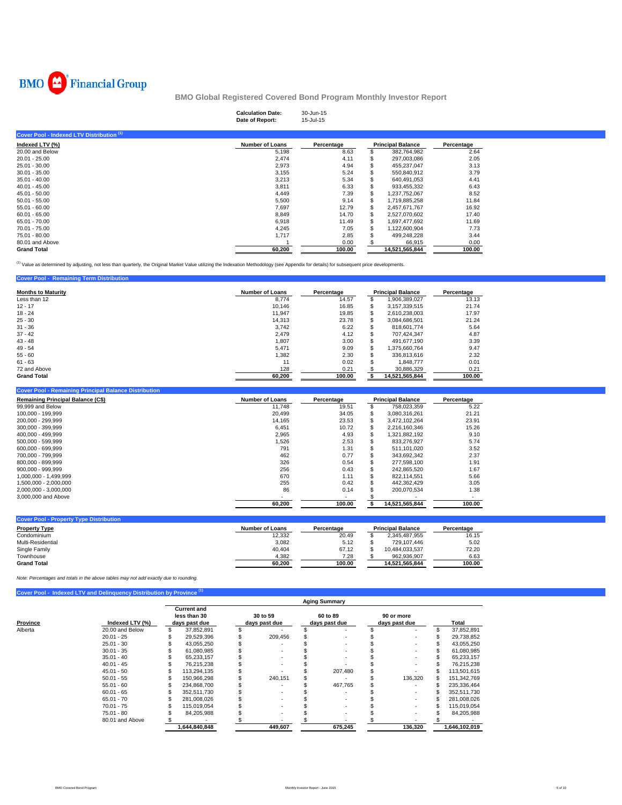

**Cover Pool - Remaining Term** 

**BMO Global Registered Covered Bond Program Monthly Investor Report**

| <b>Calculation Date:</b> | 30-Jun-15       |           |                |                          |  |
|--------------------------|-----------------|-----------|----------------|--------------------------|--|
|                          |                 |           |                |                          |  |
|                          |                 |           |                |                          |  |
| <b>Number of Loans</b>   | Percentage      |           |                | Percentage               |  |
| 5,198                    | 8.63            | \$        | 382,764,982    | 2.64                     |  |
| 2,474                    | 4.11            |           | 297,003,086    | 2.05                     |  |
| 2,973                    | 4.94            |           | 455,237,047    | 3.13                     |  |
| 3,155                    | 5.24            |           | 550,840,912    | 3.79                     |  |
| 3,213                    | 5.34            |           | 640,491,053    | 4.41                     |  |
| 3,811                    | 6.33            |           | 933,455,332    | 6.43                     |  |
| 4,449                    | 7.39            | S         | 1,237,752,067  | 8.52                     |  |
| 5,500                    | 9.14            | \$        | 1,719,885,258  | 11.84                    |  |
| 7,697                    | 12.79           | \$        | 2,457,671,767  | 16.92                    |  |
| 8,849                    | 14.70           | S         | 2,527,070,602  | 17.40                    |  |
| 6,918                    | 11.49           | £.        | 1.697.477.692  | 11.69                    |  |
| 4,245                    | 7.05            | S         | 1,122,600,904  | 7.73                     |  |
| 1,717                    | 2.85            |           | 499,248,228    | 3.44                     |  |
|                          | 0.00            |           | 66,915         | 0.00                     |  |
| 60,200                   | 100.00          |           | 14,521,565,844 | 100.00                   |  |
|                          | Date of Report: | 15-Jul-15 |                | <b>Principal Balance</b> |  |

<sup>(1)</sup> Value as determined by adjusting, not less than quarterly, the Original Market Value utilizing the Indexation Methodology (see Appendix for details) for subsequent price developments.

| -                         |                        |            |     |                          |            |
|---------------------------|------------------------|------------|-----|--------------------------|------------|
| <b>Months to Maturity</b> | <b>Number of Loans</b> | Percentage |     | <b>Principal Balance</b> | Percentage |
| Less than 12              | 8.774                  | 14.57      | S   | 1.906.389.027            | 13.13      |
| $12 - 17$                 | 10.146                 | 16.85      | \$  | 3,157,339,515            | 21.74      |
| $18 - 24$                 | 11.947                 | 19.85      | s.  | 2,610,238,003            | 17.97      |
| $25 - 30$                 | 14.313                 | 23.78      | \$  | 3.084.686.501            | 21.24      |
| $31 - 36$                 | 3,742                  | 6.22       | \$  | 818.601.774              | 5.64       |
| $37 - 42$                 | 2.479                  | 4.12       | S   | 707.424.347              | 4.87       |
| $43 - 48$                 | 1,807                  | 3.00       | эħ. | 491.677.190              | 3.39       |
| $49 - 54$                 | 5.471                  | 9.09       | \$  | 1.375.660.764            | 9.47       |
| $55 - 60$                 | 1,382                  | 2.30       | \$  | 336.813.616              | 2.32       |
| $61 - 63$                 | 11                     | 0.02       |     | 1.848.777                | 0.01       |
| 72 and Above              | 128                    | 0.21       |     | 30.886.329               | 0.21       |
| <b>Grand Total</b>        | 60,200                 | 100.00     |     | 14,521,565,844           | 100.00     |

| <b>Cover Pool - Remaining Principal Balance Distribution</b> |                        |            |    |                          |            |  |
|--------------------------------------------------------------|------------------------|------------|----|--------------------------|------------|--|
| <b>Remaining Principal Balance (C\$)</b>                     | <b>Number of Loans</b> | Percentage |    | <b>Principal Balance</b> | Percentage |  |
| 99.999 and Below                                             | 11,748                 | 19.51      |    | 758,023,359              | 5.22       |  |
| 100.000 - 199.999                                            | 20,499                 | 34.05      | Эh | 3,080,316,261            | 21.21      |  |
| 200.000 - 299.999                                            | 14.165                 | 23.53      |    | 3.472.102.264            | 23.91      |  |
| 300.000 - 399.999                                            | 6,451                  | 10.72      |    | 2.216.160.346            | 15.26      |  |
| 400.000 - 499.999                                            | 2,965                  | 4.93       |    | 1,321,882,192            | 9.10       |  |
| 500.000 - 599.999                                            | 1,526                  | 2.53       |    | 833,276,927              | 5.74       |  |
| 600.000 - 699.999                                            | 791                    | 1.31       |    | 511.101.020              | 3.52       |  |
| 700.000 - 799.999                                            | 462                    | 0.77       |    | 343.692.342              | 2.37       |  |
| 800.000 - 899.999                                            | 326                    | 0.54       |    | 277.598.100              | 1.91       |  |
| 900,000 - 999,999                                            | 256                    | 0.43       |    | 242.865.520              | 1.67       |  |
| 1.000.000 - 1.499.999                                        | 670                    | 1.11       |    | 822.114.551              | 5.66       |  |
| 1,500,000 - 2,000,000                                        | 255                    | 0.42       |    | 442.362.429              | 3.05       |  |
| 2.000.000 - 3.000.000                                        | 86                     | 0.14       |    | 200.070.534              | 1.38       |  |
| 3,000,000 and Above                                          |                        |            |    |                          |            |  |
|                                                              | 60.200                 | 100.00     |    | 14,521,565,844           | 100.00     |  |

| <b>Cover Pool - Property Type Distribution</b> |                 |            |                          |            |
|------------------------------------------------|-----------------|------------|--------------------------|------------|
| <b>Property Type</b>                           | Number of Loans | Percentage | <b>Principal Balance</b> | Percentage |
| Condominium                                    | 12,332          | 20.49      | 2.345.487.955            | 16.15      |
| Multi-Residential                              | 3.082           | 5.12       | 729.107.446              | 5.02       |
| Single Family                                  | 40.404          | 67.12      | 10.484.033.537           | 72.20      |
| Townhouse                                      | 4,382           | 7.28       | 962.936.907              | 6.63       |
| <b>Grand Total</b>                             | 60.200          | 100.00     | 14.521.565.844           | 100.00     |

*Note: Percentages and totals in the above tables may not add exactly due to rounding.*

**Cover Pool - Indexed LTV and Delinquency Distribution by Pro** 

|          |                 | <b>Aging Summary</b> |                                                     |  |                           |  |                           |  |                             |  |               |
|----------|-----------------|----------------------|-----------------------------------------------------|--|---------------------------|--|---------------------------|--|-----------------------------|--|---------------|
| Province | Indexed LTV (%) |                      | <b>Current and</b><br>less than 30<br>days past due |  | 30 to 59<br>days past due |  | 60 to 89<br>days past due |  | 90 or more<br>days past due |  | Total         |
| Alberta  | 20.00 and Below | \$                   | 37,852,891                                          |  |                           |  |                           |  |                             |  | 37,852,891    |
|          | $20.01 - 25$    |                      | 29,529,396                                          |  | 209.456                   |  |                           |  |                             |  | 29,738,852    |
|          | $25.01 - 30$    |                      | 43,055,250                                          |  |                           |  |                           |  |                             |  | 43,055,250    |
|          | $30.01 - 35$    |                      | 61,080,985                                          |  |                           |  |                           |  | $\overline{\phantom{a}}$    |  | 61,080,985    |
|          | $35.01 - 40$    |                      | 65,233,157                                          |  |                           |  |                           |  |                             |  | 65,233,157    |
|          | $40.01 - 45$    |                      | 76.215.238                                          |  |                           |  |                           |  |                             |  | 76.215.238    |
|          | $45.01 - 50$    |                      | 113,294,135                                         |  |                           |  | 207.480                   |  |                             |  | 113,501,615   |
|          | $50.01 - 55$    |                      | 150.966.298                                         |  | 240.151                   |  |                           |  | 136.320                     |  | 151.342.769   |
|          | $55.01 - 60$    |                      | 234,868,700                                         |  |                           |  | 467.765                   |  | ۰                           |  | 235,336,464   |
|          | $60.01 - 65$    |                      | 352.511.730                                         |  |                           |  |                           |  | $\overline{\phantom{a}}$    |  | 352,511,730   |
|          | $65.01 - 70$    |                      | 281.008.026                                         |  |                           |  |                           |  | $\overline{\phantom{a}}$    |  | 281,008,026   |
|          | $70.01 - 75$    |                      | 115.019.054                                         |  |                           |  |                           |  |                             |  | 115,019,054   |
|          | $75.01 - 80$    |                      | 84,205,988                                          |  |                           |  |                           |  | $\sim$                      |  | 84,205,988    |
|          | 80.01 and Above |                      |                                                     |  |                           |  |                           |  |                             |  |               |
|          |                 |                      | 1.644.840.848                                       |  | 449.607                   |  | 675.245                   |  | 136.320                     |  | 1,646,102,019 |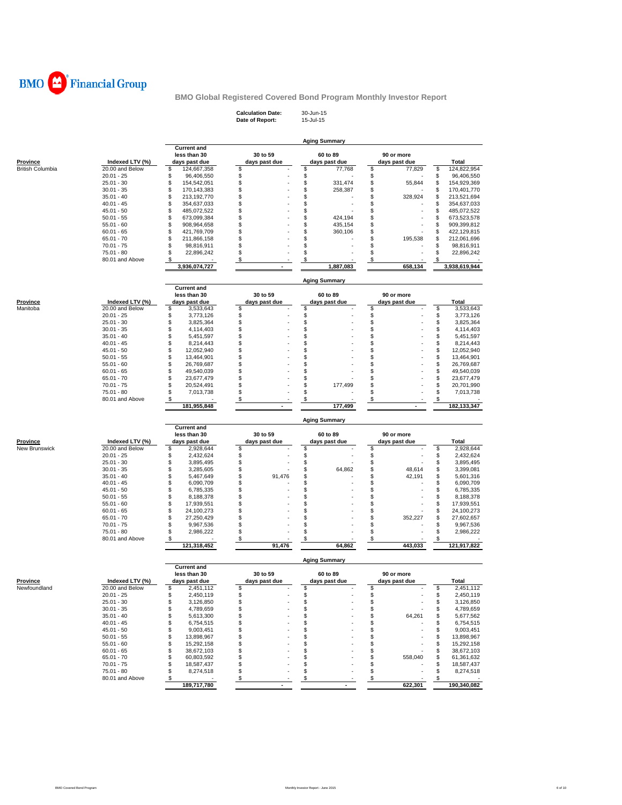

**Calculation Date:** 30-Jun-15 **Date of Report:** 15-Jul-15

|                         |                                    |                                       |                     | <b>Aging Summary</b> |                     |                                 |
|-------------------------|------------------------------------|---------------------------------------|---------------------|----------------------|---------------------|---------------------------------|
|                         |                                    | <b>Current and</b>                    |                     |                      |                     |                                 |
|                         |                                    | less than 30                          | 30 to 59            | 60 to 89             | 90 or more          |                                 |
| <b>Province</b>         | Indexed LTV (%)<br>20.00 and Below | days past due                         | days past due<br>\$ | days past due        | days past due<br>\$ | Total<br>\$                     |
| <b>British Columbia</b> | $20.01 - 25$                       | \$<br>124,667,358<br>\$<br>96,406,550 | \$                  | \$<br>77,768<br>\$   | 77,829<br>\$        | 124,822,954<br>\$<br>96,406,550 |
|                         | $25.01 - 30$                       | \$<br>154,542,051                     | \$                  | \$<br>331,474        | \$<br>55,844        | \$<br>154,929,369               |
|                         | $30.01 - 35$                       | \$<br>170,143,383                     | \$                  | \$<br>258,387        | \$                  | \$<br>170,401,770               |
|                         | $35.01 - 40$                       | \$<br>213,192,770                     | \$                  | \$                   | \$<br>328,924       | \$<br>213,521,694               |
|                         | $40.01 - 45$                       | \$<br>354,637,033                     | \$                  | \$                   | \$                  | \$<br>354,637,033               |
|                         | $45.01 - 50$                       | \$<br>485,072,522                     | \$                  | \$                   | \$                  | \$<br>485,072,522               |
|                         | $50.01 - 55$                       | \$<br>673,099,384                     | \$                  | \$<br>424,194        | \$                  | \$<br>673,523,578               |
|                         | $55.01 - 60$                       | \$<br>908,964,658                     | \$                  | \$<br>435,154        | \$                  | \$<br>909,399,812               |
|                         | $60.01 - 65$                       | \$<br>421,769,709                     | \$                  | 360,106<br>\$        | \$                  | \$<br>422,129,815               |
|                         | $65.01 - 70$                       | \$<br>211,866,158                     | \$                  | \$                   | \$<br>195,538       | \$<br>212,061,696               |
|                         | 70.01 - 75                         | \$<br>98,816,911                      | \$                  | \$                   | \$                  | \$<br>98,816,911                |
|                         | 75.01 - 80                         | \$<br>22,896,242                      | \$                  | \$                   | \$                  | 22,896,242<br>\$                |
|                         | 80.01 and Above                    | \$                                    | \$                  | \$                   | \$                  | S                               |
|                         |                                    | 3,936,074,727                         |                     | 1,887,083            | 658,134             | 3,938,619,944                   |
|                         |                                    |                                       |                     |                      |                     |                                 |
|                         |                                    |                                       |                     | <b>Aging Summary</b> |                     |                                 |
|                         |                                    | <b>Current and</b>                    |                     |                      |                     |                                 |
|                         |                                    | less than 30                          | 30 to 59            | 60 to 89             | 90 or more          |                                 |
| <b>Province</b>         | Indexed LTV (%)                    | days past due                         | days past due       | days past due        | days past due       | Total                           |
| Manitoba                | 20.00 and Below                    | \$<br>3,533,643                       | \$                  | \$                   | \$                  | \$<br>3,533,643                 |
|                         | $20.01 - 25$                       | \$<br>3,773,126                       | \$                  | \$                   | \$                  | \$<br>3,773,126                 |
|                         | $25.01 - 30$                       | \$<br>3,825,364                       | \$                  | \$                   | \$                  | 3,825,364<br>\$                 |
|                         | $30.01 - 35$                       | \$<br>4,114,403                       | \$                  | \$                   | \$                  | \$<br>4,114,403                 |
|                         | $35.01 - 40$                       | \$<br>5,451,597                       | \$                  | \$                   | \$                  | \$<br>5,451,597                 |
|                         | $40.01 - 45$                       | \$                                    | \$                  | \$                   | \$                  | \$                              |
|                         |                                    | 8,214,443                             |                     |                      |                     | 8,214,443                       |
|                         | $45.01 - 50$                       | \$<br>12,052,940                      | \$                  | S                    | \$                  | \$<br>12,052,940                |
|                         | $50.01 - 55$                       | \$<br>13,464,901                      | \$                  | S                    | \$                  | \$<br>13,464,901                |
|                         | $55.01 - 60$                       | \$<br>26,769,687                      | \$                  | \$                   | \$                  | \$<br>26,769,687                |
|                         | $60.01 - 65$                       | \$<br>49,540,039                      | \$                  | \$                   | \$                  | \$<br>49,540,039                |
|                         | $65.01 - 70$                       | \$<br>23,677,479                      | \$                  | \$                   | \$                  | \$<br>23,677,479                |
|                         | $70.01 - 75$                       | \$<br>20,524,491                      | \$                  | \$<br>177,499        | \$                  | \$<br>20,701,990                |
|                         | 75.01 - 80                         | \$<br>7,013,738                       | \$                  | \$                   | \$                  | \$<br>7,013,738                 |
|                         | 80.01 and Above                    | \$                                    | \$                  | \$                   | \$                  | \$                              |
|                         |                                    | 181,955,848                           |                     | 177,499              |                     | 182, 133, 347                   |
|                         |                                    |                                       |                     |                      |                     |                                 |
|                         |                                    |                                       |                     |                      |                     |                                 |
|                         |                                    |                                       |                     | <b>Aging Summary</b> |                     |                                 |
|                         |                                    | <b>Current and</b>                    |                     |                      |                     |                                 |
|                         |                                    | less than 30                          | 30 to 59            | 60 to 89             | 90 or more          |                                 |
| Province                | Indexed LTV (%)                    | days past due                         | days past due       | days past due        | days past due       | Total                           |
| New Brunswick           | 20.00 and Below                    | \$<br>2,928,644                       | \$                  | \$                   | \$                  | \$<br>2,928,644                 |
|                         | $20.01 - 25$                       | \$<br>2,432,624                       | \$                  | \$                   | \$                  | \$<br>2,432,624                 |
|                         | $25.01 - 30$                       | \$<br>3,895,495                       | \$                  | \$                   | \$                  | \$<br>3,895,495                 |
|                         | $30.01 - 35$                       | \$<br>3,285,605                       | \$                  | 64,862<br>\$         | \$<br>48,614        | \$<br>3,399,081                 |
|                         | $35.01 - 40$                       | \$<br>5,467,649                       | \$<br>91,476        | S                    | \$<br>42,191        | \$<br>5,601,316                 |
|                         | $40.01 - 45$                       | \$<br>6,090,709                       | \$                  | \$                   | \$                  | \$<br>6,090,709                 |
|                         | $45.01 - 50$                       | \$<br>6,785,335                       | \$                  | S                    | \$                  | \$<br>6,785,335                 |
|                         | $50.01 - 55$                       | \$<br>8,188,378                       | \$                  | \$                   | \$                  | \$<br>8,188,378                 |
|                         | $55.01 - 60$                       | \$<br>17,939,551                      | \$                  | \$                   | \$                  | \$<br>17,939,551                |
|                         | $60.01 - 65$                       |                                       |                     | \$                   |                     | S                               |
|                         |                                    | \$<br>24,100,273                      | \$                  | \$                   | \$                  | 24,100,273<br>s                 |
|                         | $65.01 - 70$<br>$70.01 - 75$       | \$<br>27,250,429<br>\$                | \$<br>\$            | \$                   | \$<br>352,227<br>\$ | 27,602,657<br>S                 |
|                         |                                    | 9,967,536<br>\$                       | \$                  | \$                   |                     | 9,967,536<br>\$                 |
|                         | 75.01 - 80                         | 2,986,222                             |                     |                      | \$                  | 2,986,222                       |
|                         | 80.01 and Above                    | \$<br>121,318,452                     | \$                  | s<br>64,862          | \$                  | \$                              |
|                         |                                    |                                       | 91,476              |                      | 443,033             | 121,917,822                     |
|                         |                                    |                                       |                     | <b>Aging Summary</b> |                     |                                 |
|                         |                                    | <b>Current and</b>                    |                     |                      |                     |                                 |
|                         |                                    |                                       |                     |                      |                     |                                 |
| Province                | Indexed LTV (%)                    | less than 30                          | 30 to 59            | 60 to 89             | 90 or more          | Total                           |
|                         | 20.00 and Below                    | days past due<br>\$                   | days past due       | days past due        | days past due       | S                               |
| Newfoundland            |                                    | 2,451,112                             | \$                  | \$                   | \$                  | 2,451,112                       |
|                         | 20.01 - 25                         | 2,450,119                             |                     |                      |                     | 2,450,119                       |
|                         | $25.01 - 30$                       | \$<br>3,126,850                       | \$                  | \$                   | \$                  | 3,126,850<br>\$                 |
|                         | $30.01 - 35$                       | \$<br>4,789,659                       | \$                  | \$                   | \$                  | 4,789,659<br>\$                 |
|                         | $35.01 - 40$                       | \$<br>5,613,300                       | \$                  | \$                   | \$<br>64,261        | 5,677,562<br>\$                 |
|                         | $40.01 - 45$                       | \$<br>6,754,515                       | \$                  | \$                   | \$                  | 6,754,515<br>\$                 |
|                         | $45.01 - 50$                       | \$<br>9,003,451                       | \$                  | \$                   | \$                  | 9,003,451<br>\$                 |
|                         | $50.01 - 55$                       | \$<br>13,898,967                      | \$                  | \$                   | \$                  | 13,898,967<br>\$                |
|                         | $55.01 - 60$                       | \$<br>15,292,158                      | \$                  | \$                   | \$                  | \$<br>15,292,158                |
|                         | $60.01 - 65$                       | \$<br>38,672,103                      | \$                  | \$                   | \$                  | 38,672,103<br>\$                |
|                         | $65.01 - 70$                       | \$<br>60,803,592                      | \$                  | \$                   | \$<br>558,040       | \$<br>61,361,632                |
|                         | $70.01 - 75$                       | \$<br>18,587,437                      | \$                  | S                    | \$                  | 18,587,437<br>S                 |
|                         | 75.01 - 80                         | \$<br>8,274,518                       | \$                  | \$                   | \$                  | 8,274,518<br>\$                 |
|                         | 80.01 and Above                    | \$<br>189,717,780                     | \$                  | s                    | \$<br>622,301       | \$<br>190,340,082               |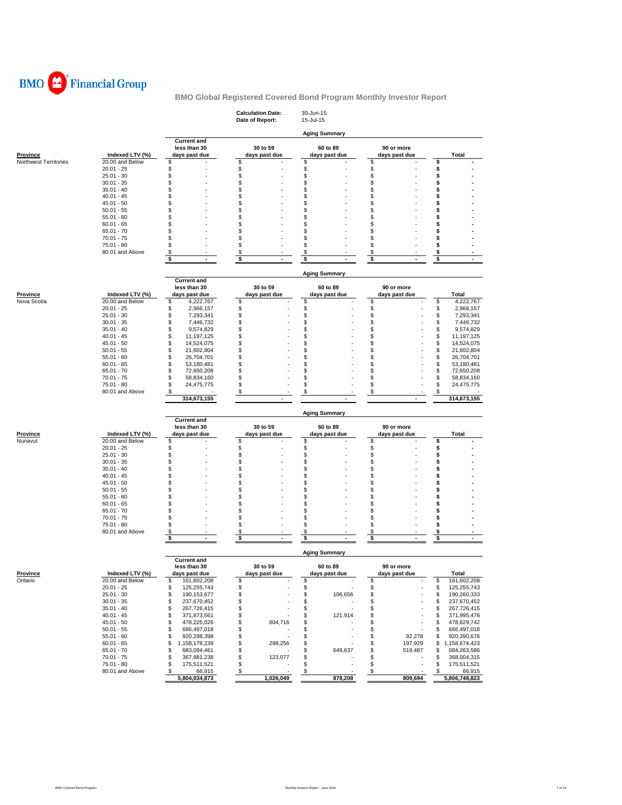

| <b>Aging Summary</b><br><b>Current and</b><br>less than 30<br>30 to 59<br>60 to 89<br>90 or more<br>Indexed LTV (%)<br><b>Province</b><br>days past due<br>days past due<br>days past due<br>days past due<br>Total<br>\$<br>\$<br>\$<br>Northwest Territories<br>20.00 and Below<br>\$<br>s<br>\$<br>$20.01 - 25$<br>\$<br>\$<br>\$<br>\$<br>\$<br>\$<br>\$<br>\$<br>$25.01 - 30$<br>s<br>\$<br>$30.01 - 35$<br>\$<br>\$<br>\$<br>s<br>\$<br>\$<br>\$<br>$35.01 - 40$<br>S<br>s<br>\$<br>\$<br>\$<br>\$<br>40.01 - 45<br>\$<br>\$<br>\$<br>\$<br>$45.01 - 50$<br>\$<br>s<br>\$<br>$50.01 - 55$<br>\$<br>\$<br>\$<br>s<br>\$<br>\$<br>S<br>\$<br>$55.01 - 60$<br>s<br>\$<br>\$<br>\$<br>$60.01 - 65$<br>\$<br>\$<br>$65.01 - 70$<br>\$<br>S<br>\$<br>\$<br>$70.01 - 75$<br>\$<br>\$<br>\$<br>\$<br>\$<br>\$<br>75.01 - 80<br>\$<br>s<br>80.01 and Above<br>\$<br>\$<br>\$<br>\$<br>s<br>\$<br>\$<br>\$<br>\$<br>\$<br>÷<br>$\overline{\phantom{a}}$<br>÷<br>$\overline{a}$<br><b>Aging Summary</b><br><b>Current and</b><br>less than 30<br>30 to 59<br>60 to 89<br>90 or more<br>Indexed LTV (%)<br><b>Province</b><br>days past due<br>days past due<br>days past due<br>days past due<br>Total<br>Nova Scotia<br>20.00 and Below<br>\$<br>4,222,767<br>\$<br>\$<br>\$<br>\$<br>4,222,767<br>\$<br>\$<br>\$<br>$20.01 - 25$<br>\$<br>2,966,157<br>\$<br>2,966,157<br>\$<br>\$<br>\$<br>\$<br>\$<br>$25.01 - 30$<br>7,293,341<br>7,293,341<br>\$<br>$30.01 - 35$<br>\$<br>\$<br>7,446,732<br>\$<br>\$<br>7,446,732<br>\$<br>$35.01 - 40$<br>\$<br>9,574,829<br>\$<br>\$<br>\$<br>9,574,829<br>\$<br>\$<br>$40.01 - 45$<br>11,197,125<br>S<br>\$<br>\$<br>11,197,125<br>\$<br>\$<br>\$<br>$45.01 - 50$<br>14,524,075<br>\$<br>\$<br>14,524,075<br>\$<br>\$<br>$50.01 - 55$<br>21,602,804<br>\$<br>\$<br>\$<br>21,602,804<br>\$<br>\$<br>$55.01 - 60$<br>26,704,701<br>\$<br>\$<br>\$<br>26,704,701<br>$60.01 - 65$<br>\$<br>\$<br>\$<br>\$<br>\$<br>53,180,481<br>53,180,481<br>\$<br>\$<br>\$<br>\$<br>\$<br>$65.01 - 70$<br>72,650,208<br>72,650,208<br>$70.01 - 75$<br>\$<br>\$<br>\$<br>\$<br>\$<br>58,834,160<br>58,834,160<br>75.01 - 80<br>S<br>\$<br>S<br>24,475,775<br>S<br>\$<br>24,475,775<br>80.01 and Above<br>\$<br>\$<br>\$<br>\$<br>\$<br>314,673,155<br>314,673,155<br><b>Aging Summary</b><br><b>Current and</b><br>less than 30<br>30 to 59<br>60 to 89<br>90 or more<br><b>Province</b><br>Indexed LTV (%)<br>days past due<br>days past due<br>days past due<br>days past due<br>Total<br>\$<br>Nunavut<br>20.00 and Below<br>\$<br>\$<br>\$<br>\$<br>\$<br>$20.01 - 25$<br>\$<br>\$<br>\$<br>\$<br>\$<br>$25.01 - 30$<br>\$<br>\$<br>\$<br>s<br>\$<br>\$<br>\$<br>\$<br>$30.01 - 35$<br>S<br>$35.01 - 40$<br>\$<br>\$<br>\$<br>\$<br>s<br>\$<br>$40.01 - 45$<br>\$<br>\$<br>\$<br>s<br>\$<br>\$<br>\$<br>\$<br>45.01 - 50<br>S<br>\$<br>$50.01 - 55$<br>\$<br>\$<br>\$<br>s<br>\$<br>$55.01 - 60$<br>\$<br>\$<br>\$<br>s<br>\$<br>\$<br>S<br>\$<br>$60.01 - 65$<br>s<br>\$<br>\$<br>\$<br>$65.01 - 70$<br>\$<br>s<br>$70.01 - 75$<br>\$<br>\$<br>\$<br>S<br>s<br>\$<br>75.01 - 80<br>\$<br>\$<br>\$<br>S<br>80.01 and Above<br>\$<br>\$<br>\$<br>S<br>s<br>\$<br>\$<br>\$<br>\$<br>$\blacksquare$<br>$\blacksquare$<br>\$<br>$\blacksquare$<br>$\blacksquare$<br><b>Aging Summary</b><br><b>Current and</b><br>30 to 59<br>60 to 89<br>90 or more<br>less than 30<br>Indexed LTV (%)<br>Total<br><b>Province</b><br>days past due<br>days past due<br>days past due<br>days past due<br>\$<br>20.00 and Below<br>\$<br>\$<br>\$<br>\$<br>161,602,208<br>Ontario<br>161,602,208<br>$20.01 - 25$<br>125,255,743<br>\$<br>\$<br>\$<br>125,255,743<br>\$<br>\$<br>\$<br>$25.01 - 30$<br>\$<br>\$<br>\$<br>190,153,677<br>106,656<br>\$<br>190,260,333<br>\$<br>$30.01 - 35$<br>\$<br>\$<br>\$<br>237,670,452<br>\$<br>237,670,452<br>\$<br>\$<br>\$<br>\$<br>$35.01 - 40$<br>267,726,415<br>\$<br>267,726,415<br>$40.01 - 45$<br>\$<br>371,873,561<br>\$<br>\$<br>121,914<br>\$<br>\$<br>371,995,476<br>\$<br>\$<br>604,716<br>45.01 - 50<br>478,225,026<br>\$<br>\$<br>\$<br>478,829,742<br>\$<br>\$<br>\$<br>$50.01 - 55$<br>666,497,018<br>\$<br>\$<br>666,497,018<br>\$<br>920,298,398<br>\$<br>\$<br>55.01 - 60<br>\$<br>92,278<br>920,390,676<br>\$<br>\$<br>197,929<br>$60.01 - 65$<br>\$<br>1,158,178,239<br>298,256<br>\$<br>\$<br>1,158,674,423<br>\$<br>\$<br>\$<br>65.01 - 70<br>\$<br>\$<br>649,637<br>519,487<br>683,094,461<br>\$<br>684,263,586<br>\$<br>\$<br>\$<br>70.01 - 75<br>\$<br>367,881,238<br>123,077<br>\$<br>368,004,315<br>75.01 - 80<br>175,511,521<br>\$<br>\$<br>\$<br>\$<br>\$<br>175,511,521<br>\$<br>\$<br>80.01 and Above<br>66,915<br>\$<br>\$<br>\$<br>66,915<br>1,026,049<br>878,208<br>5,804,034,873<br>809,694<br>5,806,748,823 |  | <b>Calculation Date:</b><br>Date of Report: | 30-Jun-15<br>15-Jul-15 |  |
|--------------------------------------------------------------------------------------------------------------------------------------------------------------------------------------------------------------------------------------------------------------------------------------------------------------------------------------------------------------------------------------------------------------------------------------------------------------------------------------------------------------------------------------------------------------------------------------------------------------------------------------------------------------------------------------------------------------------------------------------------------------------------------------------------------------------------------------------------------------------------------------------------------------------------------------------------------------------------------------------------------------------------------------------------------------------------------------------------------------------------------------------------------------------------------------------------------------------------------------------------------------------------------------------------------------------------------------------------------------------------------------------------------------------------------------------------------------------------------------------------------------------------------------------------------------------------------------------------------------------------------------------------------------------------------------------------------------------------------------------------------------------------------------------------------------------------------------------------------------------------------------------------------------------------------------------------------------------------------------------------------------------------------------------------------------------------------------------------------------------------------------------------------------------------------------------------------------------------------------------------------------------------------------------------------------------------------------------------------------------------------------------------------------------------------------------------------------------------------------------------------------------------------------------------------------------------------------------------------------------------------------------------------------------------------------------------------------------------------------------------------------------------------------------------------------------------------------------------------------------------------------------------------------------------------------------------------------------------------------------------------------------------------------------------------------------------------------------------------------------------------------------------------------------------------------------------------------------------------------------------------------------------------------------------------------------------------------------------------------------------------------------------------------------------------------------------------------------------------------------------------------------------------------------------------------------------------------------------------------------------------------------------------------------------------------------------------------------------------------------------------------------------------------------------------------------------------------------------------------------------------------------------------------------------------------------------------------------------------------------------------------------------------------------------------------------------------------------------------------------------------------------------------------------------------------------------------------------------------------------------------------------------------------------------------------------------------------------------------------------------------------------------------------------------------------------------------------------------------------------------------------------------------------------------------------------------------------------------------------------------------------------------------------------------------------------------------------------------------------------------------------------------------------------|--|---------------------------------------------|------------------------|--|
|                                                                                                                                                                                                                                                                                                                                                                                                                                                                                                                                                                                                                                                                                                                                                                                                                                                                                                                                                                                                                                                                                                                                                                                                                                                                                                                                                                                                                                                                                                                                                                                                                                                                                                                                                                                                                                                                                                                                                                                                                                                                                                                                                                                                                                                                                                                                                                                                                                                                                                                                                                                                                                                                                                                                                                                                                                                                                                                                                                                                                                                                                                                                                                                                                                                                                                                                                                                                                                                                                                                                                                                                                                                                                                                                                                                                                                                                                                                                                                                                                                                                                                                                                                                                                                                                                                                                                                                                                                                                                                                                                                                                                                                                                                                                                                                            |  |                                             |                        |  |
|                                                                                                                                                                                                                                                                                                                                                                                                                                                                                                                                                                                                                                                                                                                                                                                                                                                                                                                                                                                                                                                                                                                                                                                                                                                                                                                                                                                                                                                                                                                                                                                                                                                                                                                                                                                                                                                                                                                                                                                                                                                                                                                                                                                                                                                                                                                                                                                                                                                                                                                                                                                                                                                                                                                                                                                                                                                                                                                                                                                                                                                                                                                                                                                                                                                                                                                                                                                                                                                                                                                                                                                                                                                                                                                                                                                                                                                                                                                                                                                                                                                                                                                                                                                                                                                                                                                                                                                                                                                                                                                                                                                                                                                                                                                                                                                            |  |                                             |                        |  |
|                                                                                                                                                                                                                                                                                                                                                                                                                                                                                                                                                                                                                                                                                                                                                                                                                                                                                                                                                                                                                                                                                                                                                                                                                                                                                                                                                                                                                                                                                                                                                                                                                                                                                                                                                                                                                                                                                                                                                                                                                                                                                                                                                                                                                                                                                                                                                                                                                                                                                                                                                                                                                                                                                                                                                                                                                                                                                                                                                                                                                                                                                                                                                                                                                                                                                                                                                                                                                                                                                                                                                                                                                                                                                                                                                                                                                                                                                                                                                                                                                                                                                                                                                                                                                                                                                                                                                                                                                                                                                                                                                                                                                                                                                                                                                                                            |  |                                             |                        |  |
|                                                                                                                                                                                                                                                                                                                                                                                                                                                                                                                                                                                                                                                                                                                                                                                                                                                                                                                                                                                                                                                                                                                                                                                                                                                                                                                                                                                                                                                                                                                                                                                                                                                                                                                                                                                                                                                                                                                                                                                                                                                                                                                                                                                                                                                                                                                                                                                                                                                                                                                                                                                                                                                                                                                                                                                                                                                                                                                                                                                                                                                                                                                                                                                                                                                                                                                                                                                                                                                                                                                                                                                                                                                                                                                                                                                                                                                                                                                                                                                                                                                                                                                                                                                                                                                                                                                                                                                                                                                                                                                                                                                                                                                                                                                                                                                            |  |                                             |                        |  |
|                                                                                                                                                                                                                                                                                                                                                                                                                                                                                                                                                                                                                                                                                                                                                                                                                                                                                                                                                                                                                                                                                                                                                                                                                                                                                                                                                                                                                                                                                                                                                                                                                                                                                                                                                                                                                                                                                                                                                                                                                                                                                                                                                                                                                                                                                                                                                                                                                                                                                                                                                                                                                                                                                                                                                                                                                                                                                                                                                                                                                                                                                                                                                                                                                                                                                                                                                                                                                                                                                                                                                                                                                                                                                                                                                                                                                                                                                                                                                                                                                                                                                                                                                                                                                                                                                                                                                                                                                                                                                                                                                                                                                                                                                                                                                                                            |  |                                             |                        |  |
|                                                                                                                                                                                                                                                                                                                                                                                                                                                                                                                                                                                                                                                                                                                                                                                                                                                                                                                                                                                                                                                                                                                                                                                                                                                                                                                                                                                                                                                                                                                                                                                                                                                                                                                                                                                                                                                                                                                                                                                                                                                                                                                                                                                                                                                                                                                                                                                                                                                                                                                                                                                                                                                                                                                                                                                                                                                                                                                                                                                                                                                                                                                                                                                                                                                                                                                                                                                                                                                                                                                                                                                                                                                                                                                                                                                                                                                                                                                                                                                                                                                                                                                                                                                                                                                                                                                                                                                                                                                                                                                                                                                                                                                                                                                                                                                            |  |                                             |                        |  |
|                                                                                                                                                                                                                                                                                                                                                                                                                                                                                                                                                                                                                                                                                                                                                                                                                                                                                                                                                                                                                                                                                                                                                                                                                                                                                                                                                                                                                                                                                                                                                                                                                                                                                                                                                                                                                                                                                                                                                                                                                                                                                                                                                                                                                                                                                                                                                                                                                                                                                                                                                                                                                                                                                                                                                                                                                                                                                                                                                                                                                                                                                                                                                                                                                                                                                                                                                                                                                                                                                                                                                                                                                                                                                                                                                                                                                                                                                                                                                                                                                                                                                                                                                                                                                                                                                                                                                                                                                                                                                                                                                                                                                                                                                                                                                                                            |  |                                             |                        |  |
|                                                                                                                                                                                                                                                                                                                                                                                                                                                                                                                                                                                                                                                                                                                                                                                                                                                                                                                                                                                                                                                                                                                                                                                                                                                                                                                                                                                                                                                                                                                                                                                                                                                                                                                                                                                                                                                                                                                                                                                                                                                                                                                                                                                                                                                                                                                                                                                                                                                                                                                                                                                                                                                                                                                                                                                                                                                                                                                                                                                                                                                                                                                                                                                                                                                                                                                                                                                                                                                                                                                                                                                                                                                                                                                                                                                                                                                                                                                                                                                                                                                                                                                                                                                                                                                                                                                                                                                                                                                                                                                                                                                                                                                                                                                                                                                            |  |                                             |                        |  |
|                                                                                                                                                                                                                                                                                                                                                                                                                                                                                                                                                                                                                                                                                                                                                                                                                                                                                                                                                                                                                                                                                                                                                                                                                                                                                                                                                                                                                                                                                                                                                                                                                                                                                                                                                                                                                                                                                                                                                                                                                                                                                                                                                                                                                                                                                                                                                                                                                                                                                                                                                                                                                                                                                                                                                                                                                                                                                                                                                                                                                                                                                                                                                                                                                                                                                                                                                                                                                                                                                                                                                                                                                                                                                                                                                                                                                                                                                                                                                                                                                                                                                                                                                                                                                                                                                                                                                                                                                                                                                                                                                                                                                                                                                                                                                                                            |  |                                             |                        |  |
|                                                                                                                                                                                                                                                                                                                                                                                                                                                                                                                                                                                                                                                                                                                                                                                                                                                                                                                                                                                                                                                                                                                                                                                                                                                                                                                                                                                                                                                                                                                                                                                                                                                                                                                                                                                                                                                                                                                                                                                                                                                                                                                                                                                                                                                                                                                                                                                                                                                                                                                                                                                                                                                                                                                                                                                                                                                                                                                                                                                                                                                                                                                                                                                                                                                                                                                                                                                                                                                                                                                                                                                                                                                                                                                                                                                                                                                                                                                                                                                                                                                                                                                                                                                                                                                                                                                                                                                                                                                                                                                                                                                                                                                                                                                                                                                            |  |                                             |                        |  |
|                                                                                                                                                                                                                                                                                                                                                                                                                                                                                                                                                                                                                                                                                                                                                                                                                                                                                                                                                                                                                                                                                                                                                                                                                                                                                                                                                                                                                                                                                                                                                                                                                                                                                                                                                                                                                                                                                                                                                                                                                                                                                                                                                                                                                                                                                                                                                                                                                                                                                                                                                                                                                                                                                                                                                                                                                                                                                                                                                                                                                                                                                                                                                                                                                                                                                                                                                                                                                                                                                                                                                                                                                                                                                                                                                                                                                                                                                                                                                                                                                                                                                                                                                                                                                                                                                                                                                                                                                                                                                                                                                                                                                                                                                                                                                                                            |  |                                             |                        |  |
|                                                                                                                                                                                                                                                                                                                                                                                                                                                                                                                                                                                                                                                                                                                                                                                                                                                                                                                                                                                                                                                                                                                                                                                                                                                                                                                                                                                                                                                                                                                                                                                                                                                                                                                                                                                                                                                                                                                                                                                                                                                                                                                                                                                                                                                                                                                                                                                                                                                                                                                                                                                                                                                                                                                                                                                                                                                                                                                                                                                                                                                                                                                                                                                                                                                                                                                                                                                                                                                                                                                                                                                                                                                                                                                                                                                                                                                                                                                                                                                                                                                                                                                                                                                                                                                                                                                                                                                                                                                                                                                                                                                                                                                                                                                                                                                            |  |                                             |                        |  |
|                                                                                                                                                                                                                                                                                                                                                                                                                                                                                                                                                                                                                                                                                                                                                                                                                                                                                                                                                                                                                                                                                                                                                                                                                                                                                                                                                                                                                                                                                                                                                                                                                                                                                                                                                                                                                                                                                                                                                                                                                                                                                                                                                                                                                                                                                                                                                                                                                                                                                                                                                                                                                                                                                                                                                                                                                                                                                                                                                                                                                                                                                                                                                                                                                                                                                                                                                                                                                                                                                                                                                                                                                                                                                                                                                                                                                                                                                                                                                                                                                                                                                                                                                                                                                                                                                                                                                                                                                                                                                                                                                                                                                                                                                                                                                                                            |  |                                             |                        |  |
|                                                                                                                                                                                                                                                                                                                                                                                                                                                                                                                                                                                                                                                                                                                                                                                                                                                                                                                                                                                                                                                                                                                                                                                                                                                                                                                                                                                                                                                                                                                                                                                                                                                                                                                                                                                                                                                                                                                                                                                                                                                                                                                                                                                                                                                                                                                                                                                                                                                                                                                                                                                                                                                                                                                                                                                                                                                                                                                                                                                                                                                                                                                                                                                                                                                                                                                                                                                                                                                                                                                                                                                                                                                                                                                                                                                                                                                                                                                                                                                                                                                                                                                                                                                                                                                                                                                                                                                                                                                                                                                                                                                                                                                                                                                                                                                            |  |                                             |                        |  |
|                                                                                                                                                                                                                                                                                                                                                                                                                                                                                                                                                                                                                                                                                                                                                                                                                                                                                                                                                                                                                                                                                                                                                                                                                                                                                                                                                                                                                                                                                                                                                                                                                                                                                                                                                                                                                                                                                                                                                                                                                                                                                                                                                                                                                                                                                                                                                                                                                                                                                                                                                                                                                                                                                                                                                                                                                                                                                                                                                                                                                                                                                                                                                                                                                                                                                                                                                                                                                                                                                                                                                                                                                                                                                                                                                                                                                                                                                                                                                                                                                                                                                                                                                                                                                                                                                                                                                                                                                                                                                                                                                                                                                                                                                                                                                                                            |  |                                             |                        |  |
|                                                                                                                                                                                                                                                                                                                                                                                                                                                                                                                                                                                                                                                                                                                                                                                                                                                                                                                                                                                                                                                                                                                                                                                                                                                                                                                                                                                                                                                                                                                                                                                                                                                                                                                                                                                                                                                                                                                                                                                                                                                                                                                                                                                                                                                                                                                                                                                                                                                                                                                                                                                                                                                                                                                                                                                                                                                                                                                                                                                                                                                                                                                                                                                                                                                                                                                                                                                                                                                                                                                                                                                                                                                                                                                                                                                                                                                                                                                                                                                                                                                                                                                                                                                                                                                                                                                                                                                                                                                                                                                                                                                                                                                                                                                                                                                            |  |                                             |                        |  |
|                                                                                                                                                                                                                                                                                                                                                                                                                                                                                                                                                                                                                                                                                                                                                                                                                                                                                                                                                                                                                                                                                                                                                                                                                                                                                                                                                                                                                                                                                                                                                                                                                                                                                                                                                                                                                                                                                                                                                                                                                                                                                                                                                                                                                                                                                                                                                                                                                                                                                                                                                                                                                                                                                                                                                                                                                                                                                                                                                                                                                                                                                                                                                                                                                                                                                                                                                                                                                                                                                                                                                                                                                                                                                                                                                                                                                                                                                                                                                                                                                                                                                                                                                                                                                                                                                                                                                                                                                                                                                                                                                                                                                                                                                                                                                                                            |  |                                             |                        |  |
|                                                                                                                                                                                                                                                                                                                                                                                                                                                                                                                                                                                                                                                                                                                                                                                                                                                                                                                                                                                                                                                                                                                                                                                                                                                                                                                                                                                                                                                                                                                                                                                                                                                                                                                                                                                                                                                                                                                                                                                                                                                                                                                                                                                                                                                                                                                                                                                                                                                                                                                                                                                                                                                                                                                                                                                                                                                                                                                                                                                                                                                                                                                                                                                                                                                                                                                                                                                                                                                                                                                                                                                                                                                                                                                                                                                                                                                                                                                                                                                                                                                                                                                                                                                                                                                                                                                                                                                                                                                                                                                                                                                                                                                                                                                                                                                            |  |                                             |                        |  |
|                                                                                                                                                                                                                                                                                                                                                                                                                                                                                                                                                                                                                                                                                                                                                                                                                                                                                                                                                                                                                                                                                                                                                                                                                                                                                                                                                                                                                                                                                                                                                                                                                                                                                                                                                                                                                                                                                                                                                                                                                                                                                                                                                                                                                                                                                                                                                                                                                                                                                                                                                                                                                                                                                                                                                                                                                                                                                                                                                                                                                                                                                                                                                                                                                                                                                                                                                                                                                                                                                                                                                                                                                                                                                                                                                                                                                                                                                                                                                                                                                                                                                                                                                                                                                                                                                                                                                                                                                                                                                                                                                                                                                                                                                                                                                                                            |  |                                             |                        |  |
|                                                                                                                                                                                                                                                                                                                                                                                                                                                                                                                                                                                                                                                                                                                                                                                                                                                                                                                                                                                                                                                                                                                                                                                                                                                                                                                                                                                                                                                                                                                                                                                                                                                                                                                                                                                                                                                                                                                                                                                                                                                                                                                                                                                                                                                                                                                                                                                                                                                                                                                                                                                                                                                                                                                                                                                                                                                                                                                                                                                                                                                                                                                                                                                                                                                                                                                                                                                                                                                                                                                                                                                                                                                                                                                                                                                                                                                                                                                                                                                                                                                                                                                                                                                                                                                                                                                                                                                                                                                                                                                                                                                                                                                                                                                                                                                            |  |                                             |                        |  |
|                                                                                                                                                                                                                                                                                                                                                                                                                                                                                                                                                                                                                                                                                                                                                                                                                                                                                                                                                                                                                                                                                                                                                                                                                                                                                                                                                                                                                                                                                                                                                                                                                                                                                                                                                                                                                                                                                                                                                                                                                                                                                                                                                                                                                                                                                                                                                                                                                                                                                                                                                                                                                                                                                                                                                                                                                                                                                                                                                                                                                                                                                                                                                                                                                                                                                                                                                                                                                                                                                                                                                                                                                                                                                                                                                                                                                                                                                                                                                                                                                                                                                                                                                                                                                                                                                                                                                                                                                                                                                                                                                                                                                                                                                                                                                                                            |  |                                             |                        |  |
|                                                                                                                                                                                                                                                                                                                                                                                                                                                                                                                                                                                                                                                                                                                                                                                                                                                                                                                                                                                                                                                                                                                                                                                                                                                                                                                                                                                                                                                                                                                                                                                                                                                                                                                                                                                                                                                                                                                                                                                                                                                                                                                                                                                                                                                                                                                                                                                                                                                                                                                                                                                                                                                                                                                                                                                                                                                                                                                                                                                                                                                                                                                                                                                                                                                                                                                                                                                                                                                                                                                                                                                                                                                                                                                                                                                                                                                                                                                                                                                                                                                                                                                                                                                                                                                                                                                                                                                                                                                                                                                                                                                                                                                                                                                                                                                            |  |                                             |                        |  |
|                                                                                                                                                                                                                                                                                                                                                                                                                                                                                                                                                                                                                                                                                                                                                                                                                                                                                                                                                                                                                                                                                                                                                                                                                                                                                                                                                                                                                                                                                                                                                                                                                                                                                                                                                                                                                                                                                                                                                                                                                                                                                                                                                                                                                                                                                                                                                                                                                                                                                                                                                                                                                                                                                                                                                                                                                                                                                                                                                                                                                                                                                                                                                                                                                                                                                                                                                                                                                                                                                                                                                                                                                                                                                                                                                                                                                                                                                                                                                                                                                                                                                                                                                                                                                                                                                                                                                                                                                                                                                                                                                                                                                                                                                                                                                                                            |  |                                             |                        |  |
|                                                                                                                                                                                                                                                                                                                                                                                                                                                                                                                                                                                                                                                                                                                                                                                                                                                                                                                                                                                                                                                                                                                                                                                                                                                                                                                                                                                                                                                                                                                                                                                                                                                                                                                                                                                                                                                                                                                                                                                                                                                                                                                                                                                                                                                                                                                                                                                                                                                                                                                                                                                                                                                                                                                                                                                                                                                                                                                                                                                                                                                                                                                                                                                                                                                                                                                                                                                                                                                                                                                                                                                                                                                                                                                                                                                                                                                                                                                                                                                                                                                                                                                                                                                                                                                                                                                                                                                                                                                                                                                                                                                                                                                                                                                                                                                            |  |                                             |                        |  |
|                                                                                                                                                                                                                                                                                                                                                                                                                                                                                                                                                                                                                                                                                                                                                                                                                                                                                                                                                                                                                                                                                                                                                                                                                                                                                                                                                                                                                                                                                                                                                                                                                                                                                                                                                                                                                                                                                                                                                                                                                                                                                                                                                                                                                                                                                                                                                                                                                                                                                                                                                                                                                                                                                                                                                                                                                                                                                                                                                                                                                                                                                                                                                                                                                                                                                                                                                                                                                                                                                                                                                                                                                                                                                                                                                                                                                                                                                                                                                                                                                                                                                                                                                                                                                                                                                                                                                                                                                                                                                                                                                                                                                                                                                                                                                                                            |  |                                             |                        |  |
|                                                                                                                                                                                                                                                                                                                                                                                                                                                                                                                                                                                                                                                                                                                                                                                                                                                                                                                                                                                                                                                                                                                                                                                                                                                                                                                                                                                                                                                                                                                                                                                                                                                                                                                                                                                                                                                                                                                                                                                                                                                                                                                                                                                                                                                                                                                                                                                                                                                                                                                                                                                                                                                                                                                                                                                                                                                                                                                                                                                                                                                                                                                                                                                                                                                                                                                                                                                                                                                                                                                                                                                                                                                                                                                                                                                                                                                                                                                                                                                                                                                                                                                                                                                                                                                                                                                                                                                                                                                                                                                                                                                                                                                                                                                                                                                            |  |                                             |                        |  |
|                                                                                                                                                                                                                                                                                                                                                                                                                                                                                                                                                                                                                                                                                                                                                                                                                                                                                                                                                                                                                                                                                                                                                                                                                                                                                                                                                                                                                                                                                                                                                                                                                                                                                                                                                                                                                                                                                                                                                                                                                                                                                                                                                                                                                                                                                                                                                                                                                                                                                                                                                                                                                                                                                                                                                                                                                                                                                                                                                                                                                                                                                                                                                                                                                                                                                                                                                                                                                                                                                                                                                                                                                                                                                                                                                                                                                                                                                                                                                                                                                                                                                                                                                                                                                                                                                                                                                                                                                                                                                                                                                                                                                                                                                                                                                                                            |  |                                             |                        |  |
|                                                                                                                                                                                                                                                                                                                                                                                                                                                                                                                                                                                                                                                                                                                                                                                                                                                                                                                                                                                                                                                                                                                                                                                                                                                                                                                                                                                                                                                                                                                                                                                                                                                                                                                                                                                                                                                                                                                                                                                                                                                                                                                                                                                                                                                                                                                                                                                                                                                                                                                                                                                                                                                                                                                                                                                                                                                                                                                                                                                                                                                                                                                                                                                                                                                                                                                                                                                                                                                                                                                                                                                                                                                                                                                                                                                                                                                                                                                                                                                                                                                                                                                                                                                                                                                                                                                                                                                                                                                                                                                                                                                                                                                                                                                                                                                            |  |                                             |                        |  |
|                                                                                                                                                                                                                                                                                                                                                                                                                                                                                                                                                                                                                                                                                                                                                                                                                                                                                                                                                                                                                                                                                                                                                                                                                                                                                                                                                                                                                                                                                                                                                                                                                                                                                                                                                                                                                                                                                                                                                                                                                                                                                                                                                                                                                                                                                                                                                                                                                                                                                                                                                                                                                                                                                                                                                                                                                                                                                                                                                                                                                                                                                                                                                                                                                                                                                                                                                                                                                                                                                                                                                                                                                                                                                                                                                                                                                                                                                                                                                                                                                                                                                                                                                                                                                                                                                                                                                                                                                                                                                                                                                                                                                                                                                                                                                                                            |  |                                             |                        |  |
|                                                                                                                                                                                                                                                                                                                                                                                                                                                                                                                                                                                                                                                                                                                                                                                                                                                                                                                                                                                                                                                                                                                                                                                                                                                                                                                                                                                                                                                                                                                                                                                                                                                                                                                                                                                                                                                                                                                                                                                                                                                                                                                                                                                                                                                                                                                                                                                                                                                                                                                                                                                                                                                                                                                                                                                                                                                                                                                                                                                                                                                                                                                                                                                                                                                                                                                                                                                                                                                                                                                                                                                                                                                                                                                                                                                                                                                                                                                                                                                                                                                                                                                                                                                                                                                                                                                                                                                                                                                                                                                                                                                                                                                                                                                                                                                            |  |                                             |                        |  |
|                                                                                                                                                                                                                                                                                                                                                                                                                                                                                                                                                                                                                                                                                                                                                                                                                                                                                                                                                                                                                                                                                                                                                                                                                                                                                                                                                                                                                                                                                                                                                                                                                                                                                                                                                                                                                                                                                                                                                                                                                                                                                                                                                                                                                                                                                                                                                                                                                                                                                                                                                                                                                                                                                                                                                                                                                                                                                                                                                                                                                                                                                                                                                                                                                                                                                                                                                                                                                                                                                                                                                                                                                                                                                                                                                                                                                                                                                                                                                                                                                                                                                                                                                                                                                                                                                                                                                                                                                                                                                                                                                                                                                                                                                                                                                                                            |  |                                             |                        |  |
|                                                                                                                                                                                                                                                                                                                                                                                                                                                                                                                                                                                                                                                                                                                                                                                                                                                                                                                                                                                                                                                                                                                                                                                                                                                                                                                                                                                                                                                                                                                                                                                                                                                                                                                                                                                                                                                                                                                                                                                                                                                                                                                                                                                                                                                                                                                                                                                                                                                                                                                                                                                                                                                                                                                                                                                                                                                                                                                                                                                                                                                                                                                                                                                                                                                                                                                                                                                                                                                                                                                                                                                                                                                                                                                                                                                                                                                                                                                                                                                                                                                                                                                                                                                                                                                                                                                                                                                                                                                                                                                                                                                                                                                                                                                                                                                            |  |                                             |                        |  |
|                                                                                                                                                                                                                                                                                                                                                                                                                                                                                                                                                                                                                                                                                                                                                                                                                                                                                                                                                                                                                                                                                                                                                                                                                                                                                                                                                                                                                                                                                                                                                                                                                                                                                                                                                                                                                                                                                                                                                                                                                                                                                                                                                                                                                                                                                                                                                                                                                                                                                                                                                                                                                                                                                                                                                                                                                                                                                                                                                                                                                                                                                                                                                                                                                                                                                                                                                                                                                                                                                                                                                                                                                                                                                                                                                                                                                                                                                                                                                                                                                                                                                                                                                                                                                                                                                                                                                                                                                                                                                                                                                                                                                                                                                                                                                                                            |  |                                             |                        |  |
|                                                                                                                                                                                                                                                                                                                                                                                                                                                                                                                                                                                                                                                                                                                                                                                                                                                                                                                                                                                                                                                                                                                                                                                                                                                                                                                                                                                                                                                                                                                                                                                                                                                                                                                                                                                                                                                                                                                                                                                                                                                                                                                                                                                                                                                                                                                                                                                                                                                                                                                                                                                                                                                                                                                                                                                                                                                                                                                                                                                                                                                                                                                                                                                                                                                                                                                                                                                                                                                                                                                                                                                                                                                                                                                                                                                                                                                                                                                                                                                                                                                                                                                                                                                                                                                                                                                                                                                                                                                                                                                                                                                                                                                                                                                                                                                            |  |                                             |                        |  |
|                                                                                                                                                                                                                                                                                                                                                                                                                                                                                                                                                                                                                                                                                                                                                                                                                                                                                                                                                                                                                                                                                                                                                                                                                                                                                                                                                                                                                                                                                                                                                                                                                                                                                                                                                                                                                                                                                                                                                                                                                                                                                                                                                                                                                                                                                                                                                                                                                                                                                                                                                                                                                                                                                                                                                                                                                                                                                                                                                                                                                                                                                                                                                                                                                                                                                                                                                                                                                                                                                                                                                                                                                                                                                                                                                                                                                                                                                                                                                                                                                                                                                                                                                                                                                                                                                                                                                                                                                                                                                                                                                                                                                                                                                                                                                                                            |  |                                             |                        |  |
|                                                                                                                                                                                                                                                                                                                                                                                                                                                                                                                                                                                                                                                                                                                                                                                                                                                                                                                                                                                                                                                                                                                                                                                                                                                                                                                                                                                                                                                                                                                                                                                                                                                                                                                                                                                                                                                                                                                                                                                                                                                                                                                                                                                                                                                                                                                                                                                                                                                                                                                                                                                                                                                                                                                                                                                                                                                                                                                                                                                                                                                                                                                                                                                                                                                                                                                                                                                                                                                                                                                                                                                                                                                                                                                                                                                                                                                                                                                                                                                                                                                                                                                                                                                                                                                                                                                                                                                                                                                                                                                                                                                                                                                                                                                                                                                            |  |                                             |                        |  |
|                                                                                                                                                                                                                                                                                                                                                                                                                                                                                                                                                                                                                                                                                                                                                                                                                                                                                                                                                                                                                                                                                                                                                                                                                                                                                                                                                                                                                                                                                                                                                                                                                                                                                                                                                                                                                                                                                                                                                                                                                                                                                                                                                                                                                                                                                                                                                                                                                                                                                                                                                                                                                                                                                                                                                                                                                                                                                                                                                                                                                                                                                                                                                                                                                                                                                                                                                                                                                                                                                                                                                                                                                                                                                                                                                                                                                                                                                                                                                                                                                                                                                                                                                                                                                                                                                                                                                                                                                                                                                                                                                                                                                                                                                                                                                                                            |  |                                             |                        |  |
|                                                                                                                                                                                                                                                                                                                                                                                                                                                                                                                                                                                                                                                                                                                                                                                                                                                                                                                                                                                                                                                                                                                                                                                                                                                                                                                                                                                                                                                                                                                                                                                                                                                                                                                                                                                                                                                                                                                                                                                                                                                                                                                                                                                                                                                                                                                                                                                                                                                                                                                                                                                                                                                                                                                                                                                                                                                                                                                                                                                                                                                                                                                                                                                                                                                                                                                                                                                                                                                                                                                                                                                                                                                                                                                                                                                                                                                                                                                                                                                                                                                                                                                                                                                                                                                                                                                                                                                                                                                                                                                                                                                                                                                                                                                                                                                            |  |                                             |                        |  |
|                                                                                                                                                                                                                                                                                                                                                                                                                                                                                                                                                                                                                                                                                                                                                                                                                                                                                                                                                                                                                                                                                                                                                                                                                                                                                                                                                                                                                                                                                                                                                                                                                                                                                                                                                                                                                                                                                                                                                                                                                                                                                                                                                                                                                                                                                                                                                                                                                                                                                                                                                                                                                                                                                                                                                                                                                                                                                                                                                                                                                                                                                                                                                                                                                                                                                                                                                                                                                                                                                                                                                                                                                                                                                                                                                                                                                                                                                                                                                                                                                                                                                                                                                                                                                                                                                                                                                                                                                                                                                                                                                                                                                                                                                                                                                                                            |  |                                             |                        |  |
|                                                                                                                                                                                                                                                                                                                                                                                                                                                                                                                                                                                                                                                                                                                                                                                                                                                                                                                                                                                                                                                                                                                                                                                                                                                                                                                                                                                                                                                                                                                                                                                                                                                                                                                                                                                                                                                                                                                                                                                                                                                                                                                                                                                                                                                                                                                                                                                                                                                                                                                                                                                                                                                                                                                                                                                                                                                                                                                                                                                                                                                                                                                                                                                                                                                                                                                                                                                                                                                                                                                                                                                                                                                                                                                                                                                                                                                                                                                                                                                                                                                                                                                                                                                                                                                                                                                                                                                                                                                                                                                                                                                                                                                                                                                                                                                            |  |                                             |                        |  |
|                                                                                                                                                                                                                                                                                                                                                                                                                                                                                                                                                                                                                                                                                                                                                                                                                                                                                                                                                                                                                                                                                                                                                                                                                                                                                                                                                                                                                                                                                                                                                                                                                                                                                                                                                                                                                                                                                                                                                                                                                                                                                                                                                                                                                                                                                                                                                                                                                                                                                                                                                                                                                                                                                                                                                                                                                                                                                                                                                                                                                                                                                                                                                                                                                                                                                                                                                                                                                                                                                                                                                                                                                                                                                                                                                                                                                                                                                                                                                                                                                                                                                                                                                                                                                                                                                                                                                                                                                                                                                                                                                                                                                                                                                                                                                                                            |  |                                             |                        |  |
|                                                                                                                                                                                                                                                                                                                                                                                                                                                                                                                                                                                                                                                                                                                                                                                                                                                                                                                                                                                                                                                                                                                                                                                                                                                                                                                                                                                                                                                                                                                                                                                                                                                                                                                                                                                                                                                                                                                                                                                                                                                                                                                                                                                                                                                                                                                                                                                                                                                                                                                                                                                                                                                                                                                                                                                                                                                                                                                                                                                                                                                                                                                                                                                                                                                                                                                                                                                                                                                                                                                                                                                                                                                                                                                                                                                                                                                                                                                                                                                                                                                                                                                                                                                                                                                                                                                                                                                                                                                                                                                                                                                                                                                                                                                                                                                            |  |                                             |                        |  |
|                                                                                                                                                                                                                                                                                                                                                                                                                                                                                                                                                                                                                                                                                                                                                                                                                                                                                                                                                                                                                                                                                                                                                                                                                                                                                                                                                                                                                                                                                                                                                                                                                                                                                                                                                                                                                                                                                                                                                                                                                                                                                                                                                                                                                                                                                                                                                                                                                                                                                                                                                                                                                                                                                                                                                                                                                                                                                                                                                                                                                                                                                                                                                                                                                                                                                                                                                                                                                                                                                                                                                                                                                                                                                                                                                                                                                                                                                                                                                                                                                                                                                                                                                                                                                                                                                                                                                                                                                                                                                                                                                                                                                                                                                                                                                                                            |  |                                             |                        |  |
|                                                                                                                                                                                                                                                                                                                                                                                                                                                                                                                                                                                                                                                                                                                                                                                                                                                                                                                                                                                                                                                                                                                                                                                                                                                                                                                                                                                                                                                                                                                                                                                                                                                                                                                                                                                                                                                                                                                                                                                                                                                                                                                                                                                                                                                                                                                                                                                                                                                                                                                                                                                                                                                                                                                                                                                                                                                                                                                                                                                                                                                                                                                                                                                                                                                                                                                                                                                                                                                                                                                                                                                                                                                                                                                                                                                                                                                                                                                                                                                                                                                                                                                                                                                                                                                                                                                                                                                                                                                                                                                                                                                                                                                                                                                                                                                            |  |                                             |                        |  |
|                                                                                                                                                                                                                                                                                                                                                                                                                                                                                                                                                                                                                                                                                                                                                                                                                                                                                                                                                                                                                                                                                                                                                                                                                                                                                                                                                                                                                                                                                                                                                                                                                                                                                                                                                                                                                                                                                                                                                                                                                                                                                                                                                                                                                                                                                                                                                                                                                                                                                                                                                                                                                                                                                                                                                                                                                                                                                                                                                                                                                                                                                                                                                                                                                                                                                                                                                                                                                                                                                                                                                                                                                                                                                                                                                                                                                                                                                                                                                                                                                                                                                                                                                                                                                                                                                                                                                                                                                                                                                                                                                                                                                                                                                                                                                                                            |  |                                             |                        |  |
|                                                                                                                                                                                                                                                                                                                                                                                                                                                                                                                                                                                                                                                                                                                                                                                                                                                                                                                                                                                                                                                                                                                                                                                                                                                                                                                                                                                                                                                                                                                                                                                                                                                                                                                                                                                                                                                                                                                                                                                                                                                                                                                                                                                                                                                                                                                                                                                                                                                                                                                                                                                                                                                                                                                                                                                                                                                                                                                                                                                                                                                                                                                                                                                                                                                                                                                                                                                                                                                                                                                                                                                                                                                                                                                                                                                                                                                                                                                                                                                                                                                                                                                                                                                                                                                                                                                                                                                                                                                                                                                                                                                                                                                                                                                                                                                            |  |                                             |                        |  |
|                                                                                                                                                                                                                                                                                                                                                                                                                                                                                                                                                                                                                                                                                                                                                                                                                                                                                                                                                                                                                                                                                                                                                                                                                                                                                                                                                                                                                                                                                                                                                                                                                                                                                                                                                                                                                                                                                                                                                                                                                                                                                                                                                                                                                                                                                                                                                                                                                                                                                                                                                                                                                                                                                                                                                                                                                                                                                                                                                                                                                                                                                                                                                                                                                                                                                                                                                                                                                                                                                                                                                                                                                                                                                                                                                                                                                                                                                                                                                                                                                                                                                                                                                                                                                                                                                                                                                                                                                                                                                                                                                                                                                                                                                                                                                                                            |  |                                             |                        |  |
|                                                                                                                                                                                                                                                                                                                                                                                                                                                                                                                                                                                                                                                                                                                                                                                                                                                                                                                                                                                                                                                                                                                                                                                                                                                                                                                                                                                                                                                                                                                                                                                                                                                                                                                                                                                                                                                                                                                                                                                                                                                                                                                                                                                                                                                                                                                                                                                                                                                                                                                                                                                                                                                                                                                                                                                                                                                                                                                                                                                                                                                                                                                                                                                                                                                                                                                                                                                                                                                                                                                                                                                                                                                                                                                                                                                                                                                                                                                                                                                                                                                                                                                                                                                                                                                                                                                                                                                                                                                                                                                                                                                                                                                                                                                                                                                            |  |                                             |                        |  |
|                                                                                                                                                                                                                                                                                                                                                                                                                                                                                                                                                                                                                                                                                                                                                                                                                                                                                                                                                                                                                                                                                                                                                                                                                                                                                                                                                                                                                                                                                                                                                                                                                                                                                                                                                                                                                                                                                                                                                                                                                                                                                                                                                                                                                                                                                                                                                                                                                                                                                                                                                                                                                                                                                                                                                                                                                                                                                                                                                                                                                                                                                                                                                                                                                                                                                                                                                                                                                                                                                                                                                                                                                                                                                                                                                                                                                                                                                                                                                                                                                                                                                                                                                                                                                                                                                                                                                                                                                                                                                                                                                                                                                                                                                                                                                                                            |  |                                             |                        |  |
|                                                                                                                                                                                                                                                                                                                                                                                                                                                                                                                                                                                                                                                                                                                                                                                                                                                                                                                                                                                                                                                                                                                                                                                                                                                                                                                                                                                                                                                                                                                                                                                                                                                                                                                                                                                                                                                                                                                                                                                                                                                                                                                                                                                                                                                                                                                                                                                                                                                                                                                                                                                                                                                                                                                                                                                                                                                                                                                                                                                                                                                                                                                                                                                                                                                                                                                                                                                                                                                                                                                                                                                                                                                                                                                                                                                                                                                                                                                                                                                                                                                                                                                                                                                                                                                                                                                                                                                                                                                                                                                                                                                                                                                                                                                                                                                            |  |                                             |                        |  |
|                                                                                                                                                                                                                                                                                                                                                                                                                                                                                                                                                                                                                                                                                                                                                                                                                                                                                                                                                                                                                                                                                                                                                                                                                                                                                                                                                                                                                                                                                                                                                                                                                                                                                                                                                                                                                                                                                                                                                                                                                                                                                                                                                                                                                                                                                                                                                                                                                                                                                                                                                                                                                                                                                                                                                                                                                                                                                                                                                                                                                                                                                                                                                                                                                                                                                                                                                                                                                                                                                                                                                                                                                                                                                                                                                                                                                                                                                                                                                                                                                                                                                                                                                                                                                                                                                                                                                                                                                                                                                                                                                                                                                                                                                                                                                                                            |  |                                             |                        |  |
|                                                                                                                                                                                                                                                                                                                                                                                                                                                                                                                                                                                                                                                                                                                                                                                                                                                                                                                                                                                                                                                                                                                                                                                                                                                                                                                                                                                                                                                                                                                                                                                                                                                                                                                                                                                                                                                                                                                                                                                                                                                                                                                                                                                                                                                                                                                                                                                                                                                                                                                                                                                                                                                                                                                                                                                                                                                                                                                                                                                                                                                                                                                                                                                                                                                                                                                                                                                                                                                                                                                                                                                                                                                                                                                                                                                                                                                                                                                                                                                                                                                                                                                                                                                                                                                                                                                                                                                                                                                                                                                                                                                                                                                                                                                                                                                            |  |                                             |                        |  |
|                                                                                                                                                                                                                                                                                                                                                                                                                                                                                                                                                                                                                                                                                                                                                                                                                                                                                                                                                                                                                                                                                                                                                                                                                                                                                                                                                                                                                                                                                                                                                                                                                                                                                                                                                                                                                                                                                                                                                                                                                                                                                                                                                                                                                                                                                                                                                                                                                                                                                                                                                                                                                                                                                                                                                                                                                                                                                                                                                                                                                                                                                                                                                                                                                                                                                                                                                                                                                                                                                                                                                                                                                                                                                                                                                                                                                                                                                                                                                                                                                                                                                                                                                                                                                                                                                                                                                                                                                                                                                                                                                                                                                                                                                                                                                                                            |  |                                             |                        |  |
|                                                                                                                                                                                                                                                                                                                                                                                                                                                                                                                                                                                                                                                                                                                                                                                                                                                                                                                                                                                                                                                                                                                                                                                                                                                                                                                                                                                                                                                                                                                                                                                                                                                                                                                                                                                                                                                                                                                                                                                                                                                                                                                                                                                                                                                                                                                                                                                                                                                                                                                                                                                                                                                                                                                                                                                                                                                                                                                                                                                                                                                                                                                                                                                                                                                                                                                                                                                                                                                                                                                                                                                                                                                                                                                                                                                                                                                                                                                                                                                                                                                                                                                                                                                                                                                                                                                                                                                                                                                                                                                                                                                                                                                                                                                                                                                            |  |                                             |                        |  |
|                                                                                                                                                                                                                                                                                                                                                                                                                                                                                                                                                                                                                                                                                                                                                                                                                                                                                                                                                                                                                                                                                                                                                                                                                                                                                                                                                                                                                                                                                                                                                                                                                                                                                                                                                                                                                                                                                                                                                                                                                                                                                                                                                                                                                                                                                                                                                                                                                                                                                                                                                                                                                                                                                                                                                                                                                                                                                                                                                                                                                                                                                                                                                                                                                                                                                                                                                                                                                                                                                                                                                                                                                                                                                                                                                                                                                                                                                                                                                                                                                                                                                                                                                                                                                                                                                                                                                                                                                                                                                                                                                                                                                                                                                                                                                                                            |  |                                             |                        |  |
|                                                                                                                                                                                                                                                                                                                                                                                                                                                                                                                                                                                                                                                                                                                                                                                                                                                                                                                                                                                                                                                                                                                                                                                                                                                                                                                                                                                                                                                                                                                                                                                                                                                                                                                                                                                                                                                                                                                                                                                                                                                                                                                                                                                                                                                                                                                                                                                                                                                                                                                                                                                                                                                                                                                                                                                                                                                                                                                                                                                                                                                                                                                                                                                                                                                                                                                                                                                                                                                                                                                                                                                                                                                                                                                                                                                                                                                                                                                                                                                                                                                                                                                                                                                                                                                                                                                                                                                                                                                                                                                                                                                                                                                                                                                                                                                            |  |                                             |                        |  |
|                                                                                                                                                                                                                                                                                                                                                                                                                                                                                                                                                                                                                                                                                                                                                                                                                                                                                                                                                                                                                                                                                                                                                                                                                                                                                                                                                                                                                                                                                                                                                                                                                                                                                                                                                                                                                                                                                                                                                                                                                                                                                                                                                                                                                                                                                                                                                                                                                                                                                                                                                                                                                                                                                                                                                                                                                                                                                                                                                                                                                                                                                                                                                                                                                                                                                                                                                                                                                                                                                                                                                                                                                                                                                                                                                                                                                                                                                                                                                                                                                                                                                                                                                                                                                                                                                                                                                                                                                                                                                                                                                                                                                                                                                                                                                                                            |  |                                             |                        |  |
|                                                                                                                                                                                                                                                                                                                                                                                                                                                                                                                                                                                                                                                                                                                                                                                                                                                                                                                                                                                                                                                                                                                                                                                                                                                                                                                                                                                                                                                                                                                                                                                                                                                                                                                                                                                                                                                                                                                                                                                                                                                                                                                                                                                                                                                                                                                                                                                                                                                                                                                                                                                                                                                                                                                                                                                                                                                                                                                                                                                                                                                                                                                                                                                                                                                                                                                                                                                                                                                                                                                                                                                                                                                                                                                                                                                                                                                                                                                                                                                                                                                                                                                                                                                                                                                                                                                                                                                                                                                                                                                                                                                                                                                                                                                                                                                            |  |                                             |                        |  |
|                                                                                                                                                                                                                                                                                                                                                                                                                                                                                                                                                                                                                                                                                                                                                                                                                                                                                                                                                                                                                                                                                                                                                                                                                                                                                                                                                                                                                                                                                                                                                                                                                                                                                                                                                                                                                                                                                                                                                                                                                                                                                                                                                                                                                                                                                                                                                                                                                                                                                                                                                                                                                                                                                                                                                                                                                                                                                                                                                                                                                                                                                                                                                                                                                                                                                                                                                                                                                                                                                                                                                                                                                                                                                                                                                                                                                                                                                                                                                                                                                                                                                                                                                                                                                                                                                                                                                                                                                                                                                                                                                                                                                                                                                                                                                                                            |  |                                             |                        |  |
|                                                                                                                                                                                                                                                                                                                                                                                                                                                                                                                                                                                                                                                                                                                                                                                                                                                                                                                                                                                                                                                                                                                                                                                                                                                                                                                                                                                                                                                                                                                                                                                                                                                                                                                                                                                                                                                                                                                                                                                                                                                                                                                                                                                                                                                                                                                                                                                                                                                                                                                                                                                                                                                                                                                                                                                                                                                                                                                                                                                                                                                                                                                                                                                                                                                                                                                                                                                                                                                                                                                                                                                                                                                                                                                                                                                                                                                                                                                                                                                                                                                                                                                                                                                                                                                                                                                                                                                                                                                                                                                                                                                                                                                                                                                                                                                            |  |                                             |                        |  |
|                                                                                                                                                                                                                                                                                                                                                                                                                                                                                                                                                                                                                                                                                                                                                                                                                                                                                                                                                                                                                                                                                                                                                                                                                                                                                                                                                                                                                                                                                                                                                                                                                                                                                                                                                                                                                                                                                                                                                                                                                                                                                                                                                                                                                                                                                                                                                                                                                                                                                                                                                                                                                                                                                                                                                                                                                                                                                                                                                                                                                                                                                                                                                                                                                                                                                                                                                                                                                                                                                                                                                                                                                                                                                                                                                                                                                                                                                                                                                                                                                                                                                                                                                                                                                                                                                                                                                                                                                                                                                                                                                                                                                                                                                                                                                                                            |  |                                             |                        |  |
|                                                                                                                                                                                                                                                                                                                                                                                                                                                                                                                                                                                                                                                                                                                                                                                                                                                                                                                                                                                                                                                                                                                                                                                                                                                                                                                                                                                                                                                                                                                                                                                                                                                                                                                                                                                                                                                                                                                                                                                                                                                                                                                                                                                                                                                                                                                                                                                                                                                                                                                                                                                                                                                                                                                                                                                                                                                                                                                                                                                                                                                                                                                                                                                                                                                                                                                                                                                                                                                                                                                                                                                                                                                                                                                                                                                                                                                                                                                                                                                                                                                                                                                                                                                                                                                                                                                                                                                                                                                                                                                                                                                                                                                                                                                                                                                            |  |                                             |                        |  |
|                                                                                                                                                                                                                                                                                                                                                                                                                                                                                                                                                                                                                                                                                                                                                                                                                                                                                                                                                                                                                                                                                                                                                                                                                                                                                                                                                                                                                                                                                                                                                                                                                                                                                                                                                                                                                                                                                                                                                                                                                                                                                                                                                                                                                                                                                                                                                                                                                                                                                                                                                                                                                                                                                                                                                                                                                                                                                                                                                                                                                                                                                                                                                                                                                                                                                                                                                                                                                                                                                                                                                                                                                                                                                                                                                                                                                                                                                                                                                                                                                                                                                                                                                                                                                                                                                                                                                                                                                                                                                                                                                                                                                                                                                                                                                                                            |  |                                             |                        |  |
|                                                                                                                                                                                                                                                                                                                                                                                                                                                                                                                                                                                                                                                                                                                                                                                                                                                                                                                                                                                                                                                                                                                                                                                                                                                                                                                                                                                                                                                                                                                                                                                                                                                                                                                                                                                                                                                                                                                                                                                                                                                                                                                                                                                                                                                                                                                                                                                                                                                                                                                                                                                                                                                                                                                                                                                                                                                                                                                                                                                                                                                                                                                                                                                                                                                                                                                                                                                                                                                                                                                                                                                                                                                                                                                                                                                                                                                                                                                                                                                                                                                                                                                                                                                                                                                                                                                                                                                                                                                                                                                                                                                                                                                                                                                                                                                            |  |                                             |                        |  |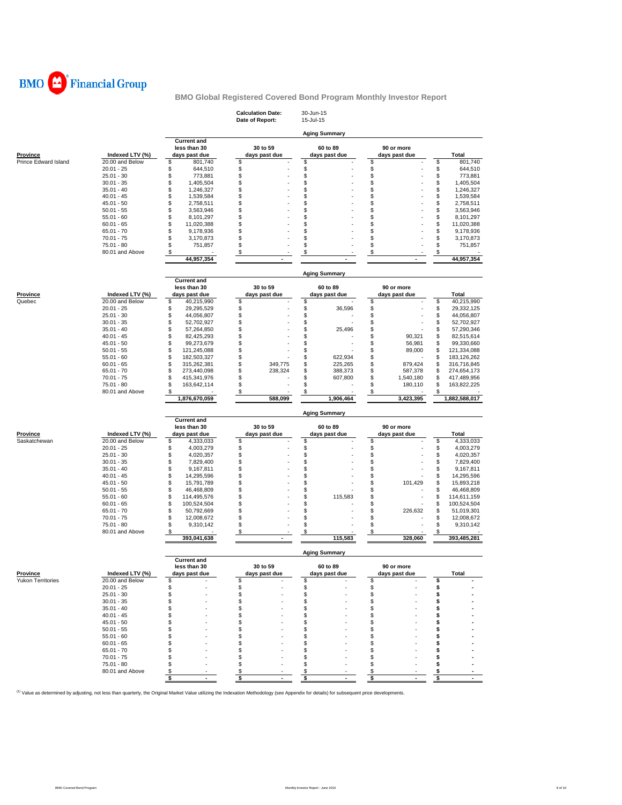

|                          |                               |                                                     | <b>Calculation Date:</b><br>Date of Report: | 30-Jun-15<br>15-Jul-15    |                             |                   |
|--------------------------|-------------------------------|-----------------------------------------------------|---------------------------------------------|---------------------------|-----------------------------|-------------------|
|                          |                               |                                                     |                                             | <b>Aging Summary</b>      |                             |                   |
| Province                 | Indexed LTV (%)               | <b>Current and</b><br>less than 30<br>days past due | 30 to 59<br>days past due                   | 60 to 89<br>days past due | 90 or more<br>days past due | Total             |
| Prince Edward Island     | 20.00 and Below               | \$<br>801,740                                       | \$                                          | \$                        | \$                          | \$<br>801,740     |
|                          | $20.01 - 25$                  | \$<br>644,510                                       | \$                                          | \$                        | \$                          | \$<br>644,510     |
|                          | $25.01 - 30$                  | \$<br>773,881                                       | \$                                          | \$                        | \$                          | \$<br>773,881     |
|                          | $30.01 - 35$                  | \$<br>1,405,504                                     | \$                                          | \$                        | \$                          | \$<br>1,405,504   |
|                          | $35.01 - 40$                  | \$<br>1,246,327                                     | \$                                          | \$                        | \$                          | \$<br>1,246,327   |
|                          | $40.01 - 45$                  | \$<br>1,539,584                                     | \$                                          | \$                        | \$                          | \$<br>1,539,584   |
|                          | $45.01 - 50$                  | \$<br>2,758,511                                     | \$                                          | \$                        | \$                          | \$<br>2,758,511   |
|                          | $50.01 - 55$                  | \$<br>3,563,946                                     | \$                                          | \$                        | \$                          | \$<br>3,563,946   |
|                          | $55.01 - 60$                  | \$<br>8,101,297                                     | \$                                          | \$                        | S                           | \$<br>8,101,297   |
|                          | $60.01 - 65$                  | \$<br>11,020,388                                    | \$                                          | \$                        | S                           | \$<br>11,020,388  |
|                          | $65.01 - 70$                  | \$<br>9,178,936                                     | \$                                          | \$                        | S                           | \$<br>9,178,936   |
|                          | $70.01 - 75$                  | \$<br>3,170,873                                     | \$                                          | \$                        | S                           | \$<br>3,170,873   |
|                          | $75.01 - 80$                  | \$<br>751,857                                       | \$                                          | \$                        | S                           | \$<br>751,857     |
|                          | 80.01 and Above               | \$                                                  | \$                                          | \$                        | \$                          | \$                |
|                          |                               | 44,957,354                                          |                                             |                           |                             | 44,957,354        |
|                          |                               |                                                     |                                             | <b>Aging Summary</b>      |                             |                   |
|                          |                               | <b>Current and</b>                                  |                                             |                           |                             |                   |
|                          |                               | less than 30                                        | 30 to 59                                    | 60 to 89                  | 90 or more                  |                   |
| <b>Province</b>          | Indexed LTV (%)               | days past due                                       | days past due                               | days past due             | days past due               | <b>Total</b>      |
| Quebec                   | 20.00 and Below               | \$<br>40,215,990                                    | \$                                          | \$                        | \$                          | \$<br>40,215,990  |
|                          | $20.01 - 25$                  | \$<br>29,295,529                                    | \$                                          | \$<br>36,596              | \$                          | \$<br>29,332,125  |
|                          | $25.01 - 30$                  | \$<br>44,056,807                                    | \$                                          | \$                        | \$                          | \$<br>44,056,807  |
|                          | $30.01 - 35$                  | \$<br>52,702,927                                    | \$                                          | \$                        | S                           | \$<br>52,702,927  |
|                          | $35.01 - 40$                  | \$<br>57,264,850                                    | \$                                          | \$<br>25,496              | S                           | \$<br>57,290,346  |
|                          | 40.01 - 45                    | \$<br>82,425,293                                    | \$                                          | \$                        | S<br>90,321                 | \$<br>82,515,614  |
|                          | $45.01 - 50$                  | \$<br>99,273,679                                    | \$                                          | \$                        | 56,981<br>\$                | \$<br>99,330,660  |
|                          | $50.01 - 55$                  | \$<br>121,245,088                                   | \$                                          | \$                        | S<br>89,000                 | \$<br>121,334,088 |
|                          | $55.01 - 60$                  | \$<br>182,503,327                                   | \$                                          | \$<br>622,934             | \$                          | \$<br>183,126,262 |
|                          | $60.01 - 65$                  | \$<br>315,262,381                                   | \$<br>349,775                               | \$<br>225,265             | \$<br>879,424               | \$<br>316,716,845 |
|                          | $65.01 - 70$                  | \$<br>273,440,098                                   | \$<br>238,324                               | \$<br>388,373             | \$<br>587,378               | \$<br>274,654,173 |
|                          | $70.01 - 75$                  | \$<br>415,341,976                                   | \$                                          | \$<br>607,800             | \$<br>1,540,180             | \$<br>417,489,956 |
|                          | 75.01 - 80                    | \$<br>163,642,114                                   | \$                                          | \$                        | \$<br>180,110               | \$<br>163,822,225 |
|                          | 80.01 and Above               | \$                                                  | \$                                          | \$                        | \$                          | \$                |
|                          |                               | 1,876,670,059                                       | 588,099                                     | 1,906,464                 | 3,423,395                   | 1,882,588,017     |
|                          |                               |                                                     |                                             |                           |                             |                   |
|                          |                               |                                                     |                                             | <b>Aging Summary</b>      |                             |                   |
|                          |                               | <b>Current and</b>                                  |                                             |                           |                             |                   |
|                          |                               | less than 30                                        | 30 to 59                                    | 60 to 89                  | 90 or more                  |                   |
| Province                 | Indexed LTV (%)               | days past due                                       | days past due                               | days past due             | days past due               | Total             |
| Saskatchewan             | 20.00 and Below               | \$<br>4,333,033                                     | \$                                          | \$                        | \$                          | \$<br>4,333,033   |
|                          | $20.01 - 25$                  | \$<br>4,003,279                                     | \$                                          | \$                        | \$                          | \$<br>4,003,279   |
|                          | $25.01 - 30$                  | \$<br>4,020,357                                     | \$                                          | \$                        | \$                          | \$<br>4,020,357   |
|                          | $30.01 - 35$                  | \$<br>7,829,400                                     | \$                                          | \$                        | \$                          | \$<br>7,829,400   |
|                          | $35.01 - 40$                  | \$<br>9,167,811                                     | \$                                          | \$                        | S                           | \$<br>9,167,811   |
|                          | $40.01 - 45$                  | \$<br>14,295,596                                    | \$                                          | \$                        | \$                          | \$<br>14,295,596  |
|                          | $45.01 - 50$                  | \$<br>15,791,789                                    | \$                                          | \$                        | S<br>101,429                | \$<br>15,893,218  |
|                          | $50.01 - 55$                  | \$<br>46,468,809                                    | \$                                          | \$                        | \$                          | \$<br>46,468,809  |
|                          | $55.01 - 60$                  | \$<br>114,495,576                                   | \$                                          | \$<br>115,583             | S                           | \$<br>114,611,159 |
|                          | $60.01 - 65$                  | \$<br>100,524,504                                   | \$                                          | \$                        | \$                          | \$<br>100,524,504 |
|                          | $65.01 - 70$                  | \$<br>50,792,669                                    | \$                                          | \$                        | S<br>226,632                | \$<br>51,019,301  |
|                          | $70.01 - 75$                  | \$<br>12,008,672                                    | \$                                          | \$                        | S                           | \$<br>12,008,672  |
|                          | 75.01 - 80<br>80.01 and Above | \$<br>9,310,142                                     | \$                                          | \$                        | S                           | \$<br>9,310,142   |
|                          |                               | \$<br>393,041,638                                   | $\boldsymbol{\mathsf{S}}$                   | \$<br>115,583             | \$<br>328,060               | \$<br>393,485,281 |
|                          |                               |                                                     |                                             | <b>Aging Summary</b>      |                             |                   |
|                          |                               | <b>Current and</b>                                  |                                             |                           |                             |                   |
|                          |                               | less than 30                                        | 30 to 59                                    | 60 to 89                  | 90 or more                  |                   |
| <b>Province</b>          | Indexed LTV (%)               | days past due                                       | days past due                               | days past due             | days past due               | Total             |
| <b>Yukon Territories</b> | 20.00 and Below               | \$                                                  | \$                                          | \$                        | \$<br>\$                    | \$                |
|                          | $20.01 - 25$<br>$25.01 - 30$  | \$<br>\$                                            | \$<br>\$                                    | \$<br>\$                  | \$                          | \$<br>\$          |
|                          | $30.01 - 35$                  | \$                                                  | \$                                          | \$                        | \$                          | \$                |
|                          | $35.01 - 40$                  | \$                                                  | \$                                          | \$                        | S                           | \$                |
|                          | $40.01 - 45$                  | \$                                                  | \$                                          | \$                        | S                           | S                 |
|                          |                               | \$                                                  | \$                                          |                           | S                           | \$                |
|                          | $45.01 - 50$                  |                                                     |                                             | \$                        | S                           | s                 |
|                          | $50.01 - 55$                  | \$                                                  | \$                                          | \$                        | S                           | s                 |
|                          | $55.01 - 60$                  | \$<br>\$                                            | \$<br>\$                                    | \$                        | S                           | S                 |
|                          | $60.01 - 65$                  | \$                                                  | \$                                          | \$<br>\$                  | S                           | s                 |
|                          | $65.01 - 70$                  | \$                                                  |                                             |                           | S                           | \$                |
|                          | $70.01 - 75$                  | \$                                                  | \$<br>\$                                    | \$<br>\$                  | S                           | S                 |
|                          | 75.01 - 80                    | \$                                                  | \$                                          | \$                        | S                           | \$                |
|                          | 80.01 and Above               | \$                                                  | \$                                          | \$                        | \$                          | \$                |

<sup>(1)</sup> Value as determined by adjusting, not less than quarterly, the Original Market Value utilizing the Indexation Methodology (see Appendix for details) for subsequent price developments.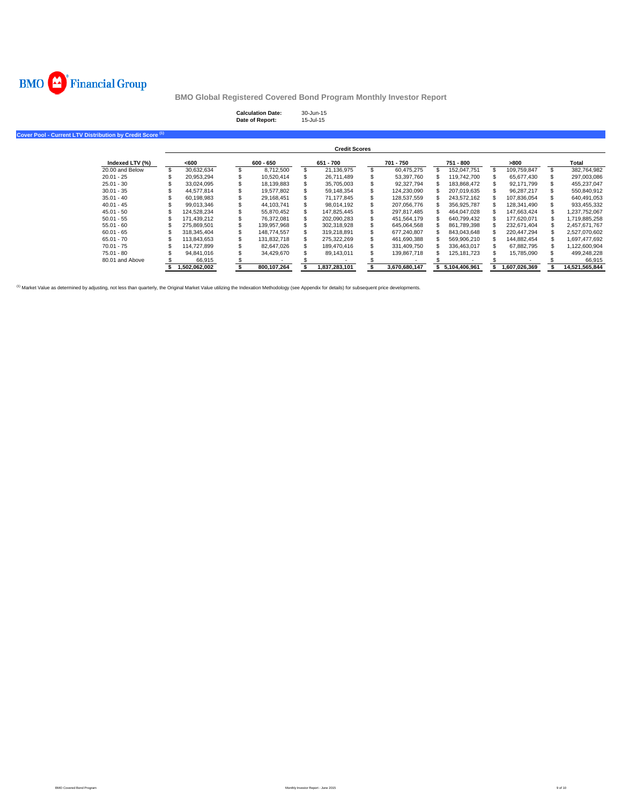

| <b>Calculation Date:</b> | 30-Jun-15 |
|--------------------------|-----------|
| Date of Report:          | 15-Jul-15 |

**Cover Pool - Current LTV Distribution by Credit Score (1)**

|                 |               |             | <b>Credit Scores</b> |               |               |               |                |
|-----------------|---------------|-------------|----------------------|---------------|---------------|---------------|----------------|
| Indexed LTV (%) | <600          | $600 - 650$ | 651 - 700            | 701 - 750     | 751 - 800     | >800          | Total          |
| 20.00 and Below | 30.632.634    | 8.712.500   | 21.136.975           | 60.475.275    | 152.047.751   | 109.759.847   | 382.764.982    |
| $20.01 - 25$    | 20.953.294    | 10.520.414  | 26.711.489           | 53,397,760    | 119.742.700   | 65.677.430    | 297,003,086    |
| $25.01 - 30$    | 33.024.095    | 18.139.883  | 35.705.003           | 92.327.794    | 183.868.472   | 92.171.799    | 455.237.047    |
| $30.01 - 35$    | 44.577.814    | 19.577.802  | 59.148.354           | 124.230.090   | 207.019.635   | 96.287.217    | 550.840.912    |
| $35.01 - 40$    | 60.198.983    | 29.168.451  | 71.177.845           | 128.537.559   | 243.572.162   | 107.836.054   | 640.491.053    |
| $40.01 - 45$    | 99.013.346    | 44.103.741  | 98.014.192           | 207.056.776   | 356.925.787   | 128.341.490   | 933,455,332    |
| $45.01 - 50$    | 124.528.234   | 55.870.452  | 147.825.445          | 297.817.485   | 464.047.028   | 147.663.424   | 1,237,752,067  |
| $50.01 - 55$    | 171.439.212   | 76.372.081  | 202.090.283          | 451.564.179   | 640.799.432   | 177.620.071   | 1.719.885.258  |
| $55.01 - 60$    | 275.869.501   | 139.957.968 | 302.318.928          | 645.064.568   | 861.789.398   | 232.671.404   | 2.457.671.767  |
| $60.01 - 65$    | 318.345.404   | 148.774.557 | 319.218.891          | 677.240.807   | 843.043.648   | 220.447.294   | 2.527.070.602  |
| $65.01 - 70$    | 113.843.653   | 131.832.718 | 275.322.269          | 461,690,388   | 569.906.210   | 144.882.454   | 697,477,692,   |
| $70.01 - 75$    | 114.727.899   | 82.647.026  | 189.470.416          | 331.409.750   | 336.463.017   | 67.882.795    | 1.122.600.904  |
| 75.01 - 80      | 94.841.016    | 34,429,670  | 89,143,011           | 139,867,718   | 125.181.723   | 15.785.090    | 499,248,228    |
| 80.01 and Above | 66,915        |             |                      |               |               |               | 66,915         |
|                 | 1.502.062.002 | 800.107.264 | 1.837.283.101        | 3.670.680.147 | 5.104.406.961 | 1.607.026.369 | 14.521.565.844 |

<sup>(1)</sup> Market Value as determined by adjusting, not less than quarterly, the Original Market Value utilizing the Indexation Methodology (see Appendix for details) for subsequent price developments.